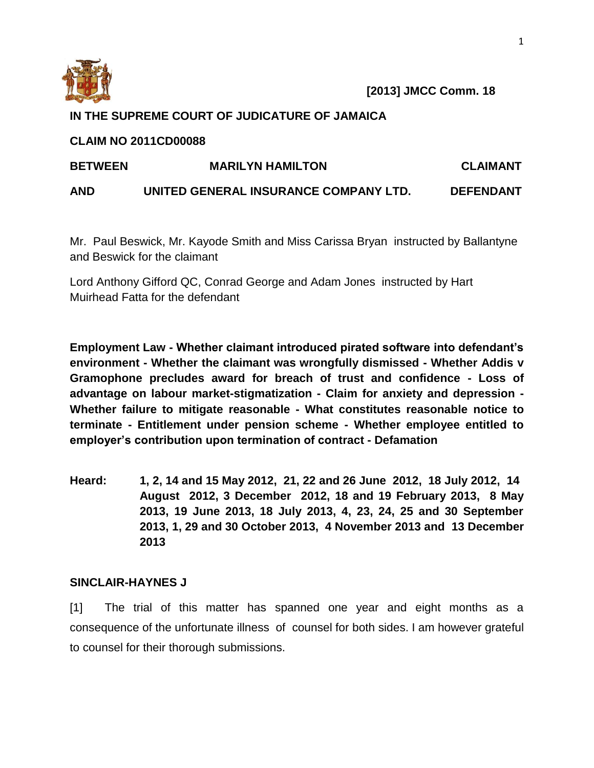

# **IN THE SUPREME COURT OF JUDICATURE OF JAMAICA**

# **CLAIM NO 2011CD00088**

| <b>BETWEEN</b> | <b>MARILYN HAMILTON</b>               | <b>CLAIMANT</b>  |
|----------------|---------------------------------------|------------------|
| <b>AND</b>     | UNITED GENERAL INSURANCE COMPANY LTD. | <b>DEFENDANT</b> |

Mr. Paul Beswick, Mr. Kayode Smith and Miss Carissa Bryan instructed by Ballantyne and Beswick for the claimant

Lord Anthony Gifford QC, Conrad George and Adam Jones instructed by Hart Muirhead Fatta for the defendant

**Employment Law - Whether claimant introduced pirated software into defendant's environment - Whether the claimant was wrongfully dismissed - Whether Addis v Gramophone precludes award for breach of trust and confidence - Loss of advantage on labour market-stigmatization - Claim for anxiety and depression - Whether failure to mitigate reasonable - What constitutes reasonable notice to terminate - Entitlement under pension scheme - Whether employee entitled to employer's contribution upon termination of contract - Defamation**

**Heard: 1, 2, 14 and 15 May 2012, 21, 22 and 26 June 2012, 18 July 2012, 14 August 2012, 3 December 2012, 18 and 19 February 2013, 8 May 2013, 19 June 2013, 18 July 2013, 4, 23, 24, 25 and 30 September 2013, 1, 29 and 30 October 2013, 4 November 2013 and 13 December 2013**

# **SINCLAIR-HAYNES J**

[1] The trial of this matter has spanned one year and eight months as a consequence of the unfortunate illness of counsel for both sides. I am however grateful to counsel for their thorough submissions.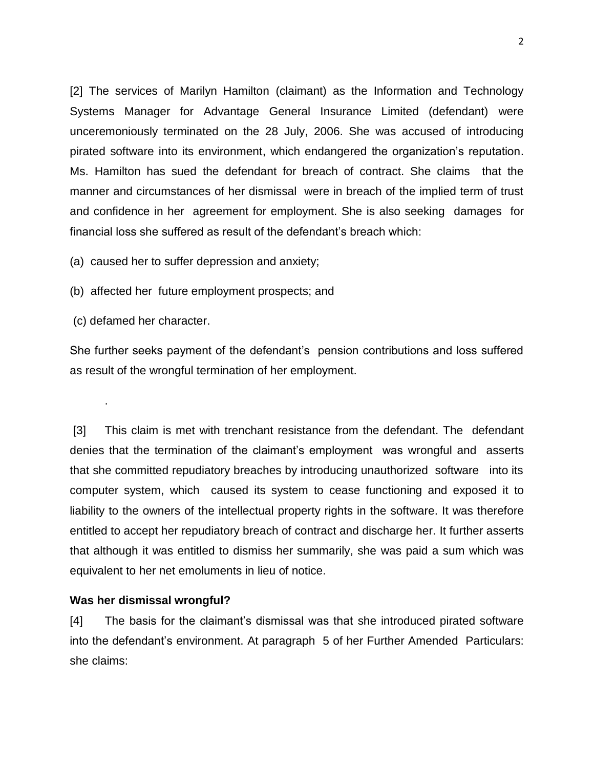[2] The services of Marilyn Hamilton (claimant) as the Information and Technology Systems Manager for Advantage General Insurance Limited (defendant) were unceremoniously terminated on the 28 July, 2006. She was accused of introducing pirated software into its environment, which endangered the organization's reputation. Ms. Hamilton has sued the defendant for breach of contract. She claims that the manner and circumstances of her dismissal were in breach of the implied term of trust and confidence in her agreement for employment. She is also seeking damages for financial loss she suffered as result of the defendant's breach which:

(a) caused her to suffer depression and anxiety;

(b) affected her future employment prospects; and

(c) defamed her character.

.

She further seeks payment of the defendant's pension contributions and loss suffered as result of the wrongful termination of her employment.

[3] This claim is met with trenchant resistance from the defendant. The defendant denies that the termination of the claimant's employment was wrongful and asserts that she committed repudiatory breaches by introducing unauthorized software into its computer system, which caused its system to cease functioning and exposed it to liability to the owners of the intellectual property rights in the software. It was therefore entitled to accept her repudiatory breach of contract and discharge her. It further asserts that although it was entitled to dismiss her summarily, she was paid a sum which was equivalent to her net emoluments in lieu of notice.

### **Was her dismissal wrongful?**

[4] The basis for the claimant's dismissal was that she introduced pirated software into the defendant's environment. At paragraph 5 of her Further Amended Particulars: she claims: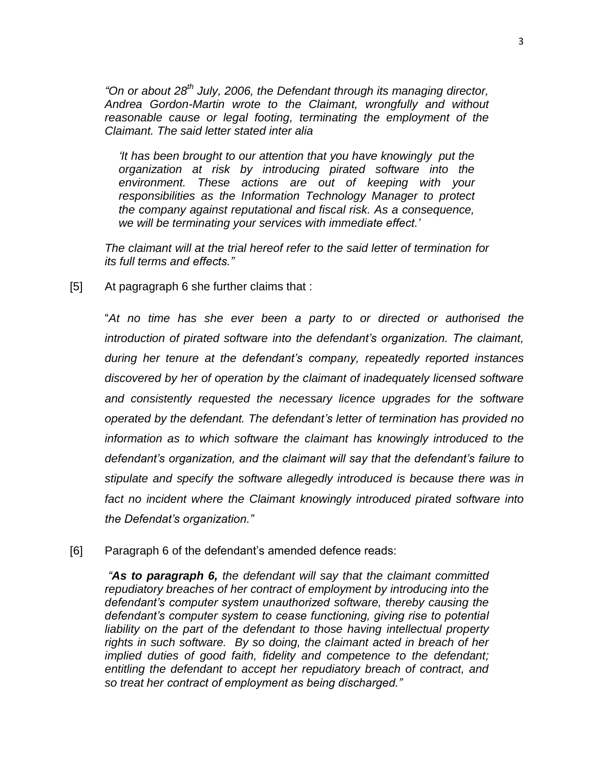*"On or about 28th July, 2006, the Defendant through its managing director, Andrea Gordon-Martin wrote to the Claimant, wrongfully and without reasonable cause or legal footing, terminating the employment of the Claimant. The said letter stated inter alia*

*'It has been brought to our attention that you have knowingly put the organization at risk by introducing pirated software into the environment. These actions are out of keeping with your responsibilities as the Information Technology Manager to protect the company against reputational and fiscal risk. As a consequence, we will be terminating your services with immediate effect.'*

*The claimant will at the trial hereof refer to the said letter of termination for its full terms and effects."*

[5] At pagragraph 6 she further claims that :

"*At no time has she ever been a party to or directed or authorised the introduction of pirated software into the defendant's organization. The claimant, during her tenure at the defendant's company, repeatedly reported instances discovered by her of operation by the claimant of inadequately licensed software and consistently requested the necessary licence upgrades for the software operated by the defendant. The defendant's letter of termination has provided no information as to which software the claimant has knowingly introduced to the defendant's organization, and the claimant will say that the defendant's failure to stipulate and specify the software allegedly introduced is because there was in fact no incident where the Claimant knowingly introduced pirated software into the Defendat's organization."*

[6] Paragraph 6 of the defendant's amended defence reads:

*"As to paragraph 6, the defendant will say that the claimant committed repudiatory breaches of her contract of employment by introducing into the defendant's computer system unauthorized software, thereby causing the defendant's computer system to cease functioning, giving rise to potential liability on the part of the defendant to those having intellectual property rights in such software. By so doing, the claimant acted in breach of her implied duties of good faith, fidelity and competence to the defendant; entitling the defendant to accept her repudiatory breach of contract, and so treat her contract of employment as being discharged."*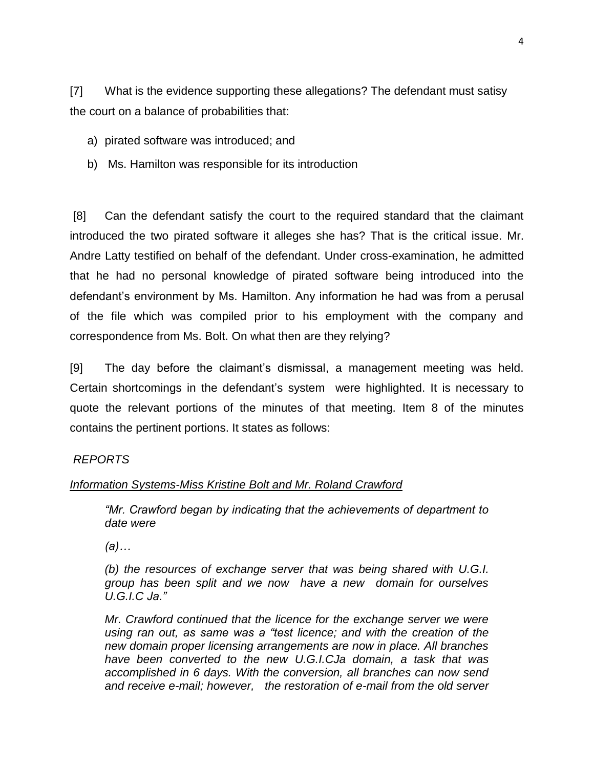[7] What is the evidence supporting these allegations? The defendant must satisy the court on a balance of probabilities that:

- a) pirated software was introduced; and
- b) Ms. Hamilton was responsible for its introduction

[8] Can the defendant satisfy the court to the required standard that the claimant introduced the two pirated software it alleges she has? That is the critical issue. Mr. Andre Latty testified on behalf of the defendant. Under cross-examination, he admitted that he had no personal knowledge of pirated software being introduced into the defendant's environment by Ms. Hamilton. Any information he had was from a perusal of the file which was compiled prior to his employment with the company and correspondence from Ms. Bolt. On what then are they relying?

[9] The day before the claimant's dismissal, a management meeting was held. Certain shortcomings in the defendant's system were highlighted. It is necessary to quote the relevant portions of the minutes of that meeting. Item 8 of the minutes contains the pertinent portions. It states as follows:

#### *REPORTS*

#### *Information Systems-Miss Kristine Bolt and Mr. Roland Crawford*

*"Mr. Crawford began by indicating that the achievements of department to date were*

*(a)…*

*(b) the resources of exchange server that was being shared with U.G.I. group has been split and we now have a new domain for ourselves U.G.I.C Ja."*

*Mr. Crawford continued that the licence for the exchange server we were using ran out, as same was a "test licence; and with the creation of the new domain proper licensing arrangements are now in place. All branches have been converted to the new U.G.I.CJa domain, a task that was accomplished in 6 days. With the conversion, all branches can now send and receive e-mail; however, the restoration of e-mail from the old server*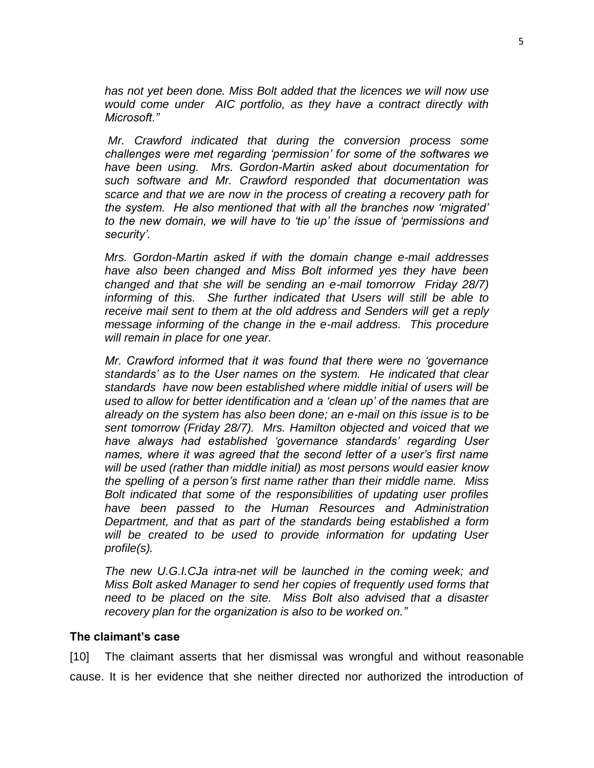*has not yet been done. Miss Bolt added that the licences we will now use would come under AIC portfolio, as they have a contract directly with Microsoft."* 

*Mr. Crawford indicated that during the conversion process some challenges were met regarding 'permission' for some of the softwares we have been using. Mrs. Gordon-Martin asked about documentation for such software and Mr. Crawford responded that documentation was scarce and that we are now in the process of creating a recovery path for the system. He also mentioned that with all the branches now 'migrated' to the new domain, we will have to 'tie up' the issue of 'permissions and security'.*

*Mrs. Gordon-Martin asked if with the domain change e-mail addresses have also been changed and Miss Bolt informed yes they have been changed and that she will be sending an e-mail tomorrow Friday 28/7) informing of this. She further indicated that Users will still be able to receive mail sent to them at the old address and Senders will get a reply message informing of the change in the e-mail address. This procedure will remain in place for one year.*

*Mr. Crawford informed that it was found that there were no 'governance standards' as to the User names on the system. He indicated that clear standards have now been established where middle initial of users will be used to allow for better identification and a 'clean up' of the names that are already on the system has also been done; an e-mail on this issue is to be sent tomorrow (Friday 28/7). Mrs. Hamilton objected and voiced that we have always had established 'governance standards' regarding User names, where it was agreed that the second letter of a user's first name will be used (rather than middle initial) as most persons would easier know the spelling of a person's first name rather than their middle name. Miss Bolt indicated that some of the responsibilities of updating user profiles have been passed to the Human Resources and Administration Department, and that as part of the standards being established a form will be created to be used to provide information for updating User profile(s).*

*The new U.G.I.CJa intra-net will be launched in the coming week; and Miss Bolt asked Manager to send her copies of frequently used forms that need to be placed on the site. Miss Bolt also advised that a disaster recovery plan for the organization is also to be worked on."*

## **The claimant's case**

[10] The claimant asserts that her dismissal was wrongful and without reasonable cause. It is her evidence that she neither directed nor authorized the introduction of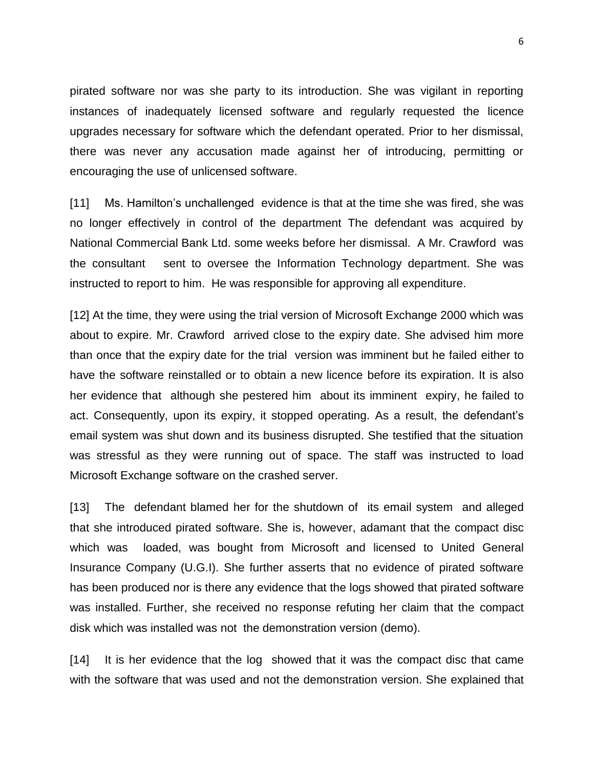pirated software nor was she party to its introduction. She was vigilant in reporting instances of inadequately licensed software and regularly requested the licence upgrades necessary for software which the defendant operated. Prior to her dismissal, there was never any accusation made against her of introducing, permitting or encouraging the use of unlicensed software.

[11] Ms. Hamilton's unchallenged evidence is that at the time she was fired, she was no longer effectively in control of the department The defendant was acquired by National Commercial Bank Ltd. some weeks before her dismissal. A Mr. Crawford was the consultant sent to oversee the Information Technology department. She was instructed to report to him. He was responsible for approving all expenditure.

[12] At the time, they were using the trial version of Microsoft Exchange 2000 which was about to expire. Mr. Crawford arrived close to the expiry date. She advised him more than once that the expiry date for the trial version was imminent but he failed either to have the software reinstalled or to obtain a new licence before its expiration. It is also her evidence that although she pestered him about its imminent expiry, he failed to act. Consequently, upon its expiry, it stopped operating. As a result, the defendant's email system was shut down and its business disrupted. She testified that the situation was stressful as they were running out of space. The staff was instructed to load Microsoft Exchange software on the crashed server.

[13] The defendant blamed her for the shutdown of its email system and alleged that she introduced pirated software. She is, however, adamant that the compact disc which was loaded, was bought from Microsoft and licensed to United General Insurance Company (U.G.I). She further asserts that no evidence of pirated software has been produced nor is there any evidence that the logs showed that pirated software was installed. Further, she received no response refuting her claim that the compact disk which was installed was not the demonstration version (demo).

[14] It is her evidence that the log showed that it was the compact disc that came with the software that was used and not the demonstration version. She explained that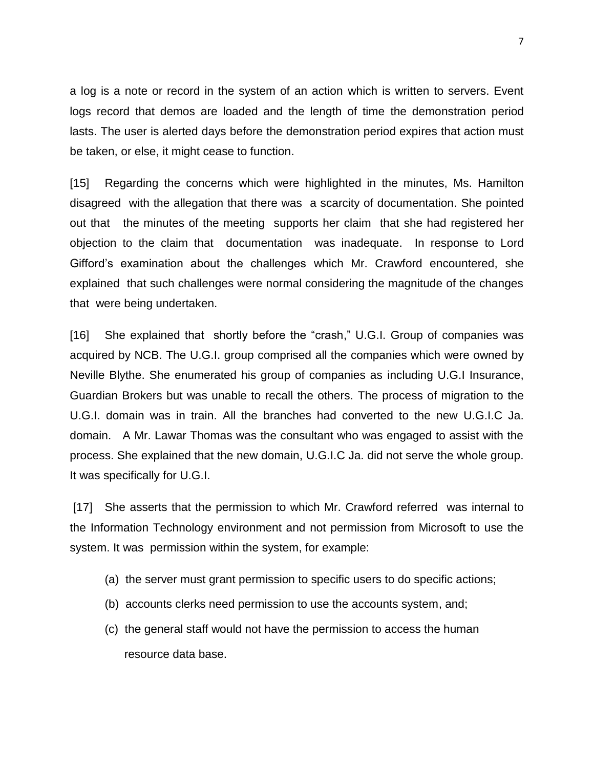a log is a note or record in the system of an action which is written to servers. Event logs record that demos are loaded and the length of time the demonstration period lasts. The user is alerted days before the demonstration period expires that action must be taken, or else, it might cease to function.

[15] Regarding the concerns which were highlighted in the minutes, Ms. Hamilton disagreed with the allegation that there was a scarcity of documentation. She pointed out that the minutes of the meeting supports her claim that she had registered her objection to the claim that documentation was inadequate. In response to Lord Gifford's examination about the challenges which Mr. Crawford encountered, she explained that such challenges were normal considering the magnitude of the changes that were being undertaken.

[16] She explained that shortly before the "crash," U.G.I. Group of companies was acquired by NCB. The U.G.I. group comprised all the companies which were owned by Neville Blythe. She enumerated his group of companies as including U.G.I Insurance, Guardian Brokers but was unable to recall the others. The process of migration to the U.G.I. domain was in train. All the branches had converted to the new U.G.I.C Ja. domain. A Mr. Lawar Thomas was the consultant who was engaged to assist with the process. She explained that the new domain, U.G.I.C Ja. did not serve the whole group. It was specifically for U.G.I.

[17] She asserts that the permission to which Mr. Crawford referred was internal to the Information Technology environment and not permission from Microsoft to use the system. It was permission within the system, for example:

- (a) the server must grant permission to specific users to do specific actions;
- (b) accounts clerks need permission to use the accounts system, and;
- (c) the general staff would not have the permission to access the human resource data base.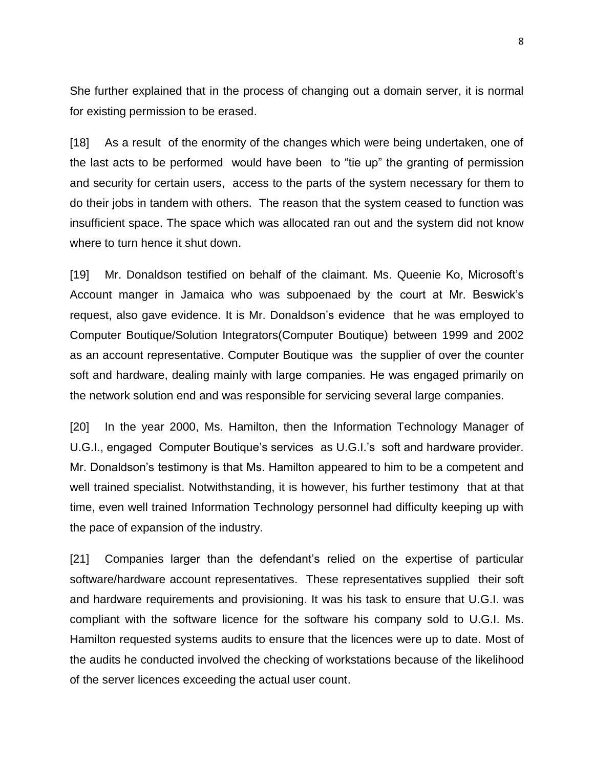She further explained that in the process of changing out a domain server, it is normal for existing permission to be erased.

[18] As a result of the enormity of the changes which were being undertaken, one of the last acts to be performed would have been to "tie up" the granting of permission and security for certain users, access to the parts of the system necessary for them to do their jobs in tandem with others. The reason that the system ceased to function was insufficient space. The space which was allocated ran out and the system did not know where to turn hence it shut down.

[19] Mr. Donaldson testified on behalf of the claimant. Ms. Queenie Ko, Microsoft's Account manger in Jamaica who was subpoenaed by the court at Mr. Beswick's request, also gave evidence. It is Mr. Donaldson's evidence that he was employed to Computer Boutique/Solution Integrators(Computer Boutique) between 1999 and 2002 as an account representative. Computer Boutique was the supplier of over the counter soft and hardware, dealing mainly with large companies. He was engaged primarily on the network solution end and was responsible for servicing several large companies.

[20] In the year 2000, Ms. Hamilton, then the Information Technology Manager of U.G.I., engaged Computer Boutique's services as U.G.I.'s soft and hardware provider. Mr. Donaldson's testimony is that Ms. Hamilton appeared to him to be a competent and well trained specialist. Notwithstanding, it is however, his further testimony that at that time, even well trained Information Technology personnel had difficulty keeping up with the pace of expansion of the industry.

[21] Companies larger than the defendant's relied on the expertise of particular software/hardware account representatives. These representatives supplied their soft and hardware requirements and provisioning. It was his task to ensure that U.G.I. was compliant with the software licence for the software his company sold to U.G.I. Ms. Hamilton requested systems audits to ensure that the licences were up to date. Most of the audits he conducted involved the checking of workstations because of the likelihood of the server licences exceeding the actual user count.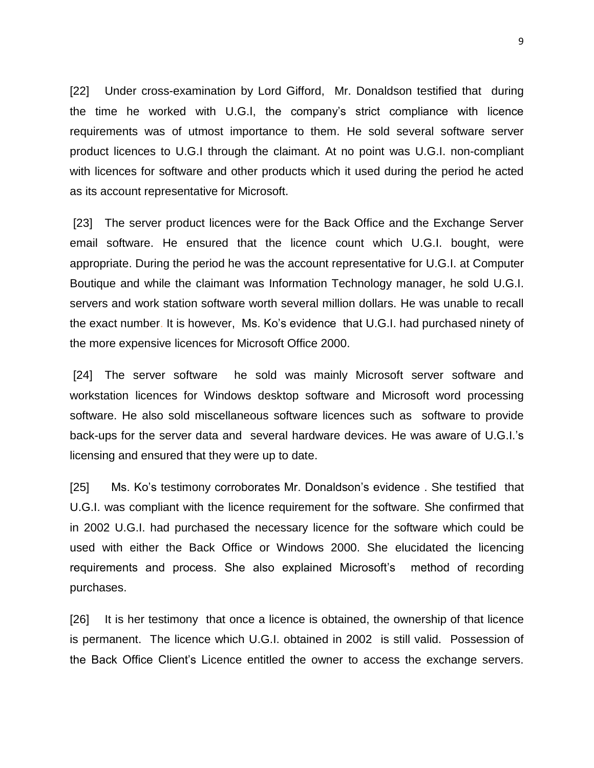[22] Under cross-examination by Lord Gifford, Mr. Donaldson testified that during the time he worked with U.G.I, the company's strict compliance with licence requirements was of utmost importance to them. He sold several software server product licences to U.G.I through the claimant. At no point was U.G.I. non-compliant with licences for software and other products which it used during the period he acted as its account representative for Microsoft.

[23] The server product licences were for the Back Office and the Exchange Server email software. He ensured that the licence count which U.G.I. bought, were appropriate. During the period he was the account representative for U.G.I. at Computer Boutique and while the claimant was Information Technology manager, he sold U.G.I. servers and work station software worth several million dollars. He was unable to recall the exact number. It is however, Ms. Ko's evidence that U.G.I. had purchased ninety of the more expensive licences for Microsoft Office 2000.

[24] The server software he sold was mainly Microsoft server software and workstation licences for Windows desktop software and Microsoft word processing software. He also sold miscellaneous software licences such as software to provide back-ups for the server data and several hardware devices. He was aware of U.G.I.'s licensing and ensured that they were up to date.

[25] Ms. Ko's testimony corroborates Mr. Donaldson's evidence . She testified that U.G.I. was compliant with the licence requirement for the software. She confirmed that in 2002 U.G.I. had purchased the necessary licence for the software which could be used with either the Back Office or Windows 2000. She elucidated the licencing requirements and process. She also explained Microsoft's method of recording purchases.

[26] It is her testimony that once a licence is obtained, the ownership of that licence is permanent. The licence which U.G.I. obtained in 2002 is still valid. Possession of the Back Office Client's Licence entitled the owner to access the exchange servers.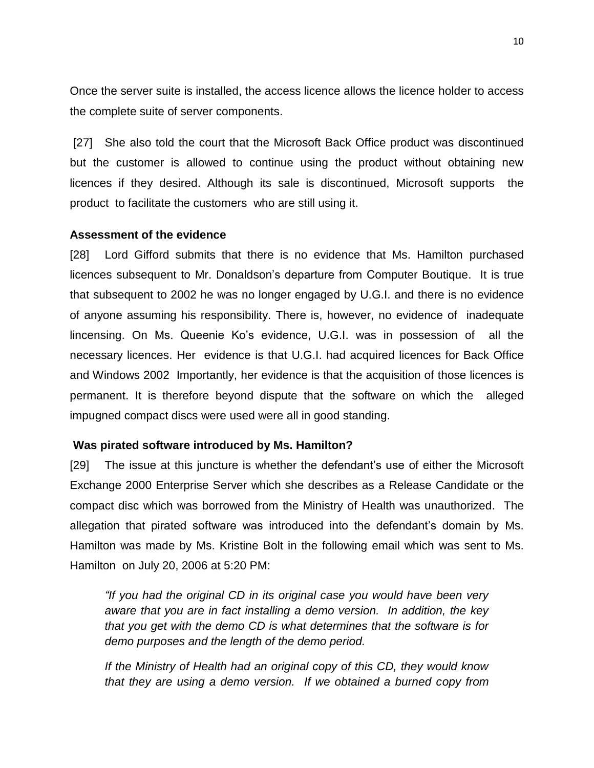Once the server suite is installed, the access licence allows the licence holder to access the complete suite of server components.

[27] She also told the court that the Microsoft Back Office product was discontinued but the customer is allowed to continue using the product without obtaining new licences if they desired. Although its sale is discontinued, Microsoft supports the product to facilitate the customers who are still using it.

### **Assessment of the evidence**

[28] Lord Gifford submits that there is no evidence that Ms. Hamilton purchased licences subsequent to Mr. Donaldson's departure from Computer Boutique. It is true that subsequent to 2002 he was no longer engaged by U.G.I. and there is no evidence of anyone assuming his responsibility. There is, however, no evidence of inadequate lincensing. On Ms. Queenie Ko's evidence, U.G.I. was in possession of all the necessary licences. Her evidence is that U.G.I. had acquired licences for Back Office and Windows 2002 Importantly, her evidence is that the acquisition of those licences is permanent. It is therefore beyond dispute that the software on which the alleged impugned compact discs were used were all in good standing.

# **Was pirated software introduced by Ms. Hamilton?**

[29] The issue at this juncture is whether the defendant's use of either the Microsoft Exchange 2000 Enterprise Server which she describes as a Release Candidate or the compact disc which was borrowed from the Ministry of Health was unauthorized. The allegation that pirated software was introduced into the defendant's domain by Ms. Hamilton was made by Ms. Kristine Bolt in the following email which was sent to Ms. Hamilton on July 20, 2006 at 5:20 PM:

*"If you had the original CD in its original case you would have been very aware that you are in fact installing a demo version. In addition, the key that you get with the demo CD is what determines that the software is for demo purposes and the length of the demo period.*

*If the Ministry of Health had an original copy of this CD, they would know that they are using a demo version. If we obtained a burned copy from*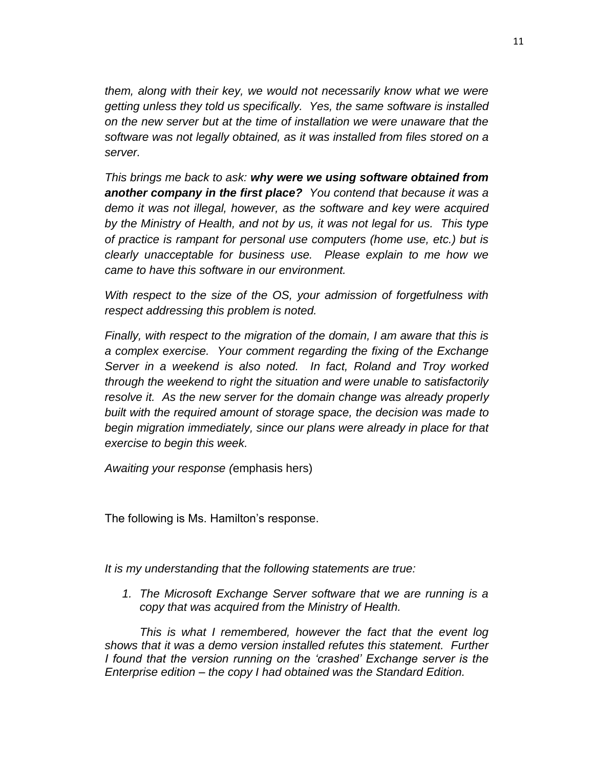*them, along with their key, we would not necessarily know what we were getting unless they told us specifically. Yes, the same software is installed on the new server but at the time of installation we were unaware that the software was not legally obtained, as it was installed from files stored on a server.*

*This brings me back to ask: why were we using software obtained from another company in the first place? You contend that because it was a demo it was not illegal, however, as the software and key were acquired by the Ministry of Health, and not by us, it was not legal for us. This type of practice is rampant for personal use computers (home use, etc.) but is clearly unacceptable for business use. Please explain to me how we came to have this software in our environment.*

*With respect to the size of the OS, your admission of forgetfulness with respect addressing this problem is noted.*

*Finally, with respect to the migration of the domain, I am aware that this is a complex exercise. Your comment regarding the fixing of the Exchange Server in a weekend is also noted. In fact, Roland and Troy worked through the weekend to right the situation and were unable to satisfactorily resolve it. As the new server for the domain change was already properly built with the required amount of storage space, the decision was made to begin migration immediately, since our plans were already in place for that exercise to begin this week.*

*Awaiting your response (*emphasis hers)

The following is Ms. Hamilton's response.

*It is my understanding that the following statements are true:*

*1. The Microsoft Exchange Server software that we are running is a copy that was acquired from the Ministry of Health.*

*This is what I remembered, however the fact that the event log shows that it was a demo version installed refutes this statement. Further I found that the version running on the 'crashed' Exchange server is the Enterprise edition – the copy I had obtained was the Standard Edition.*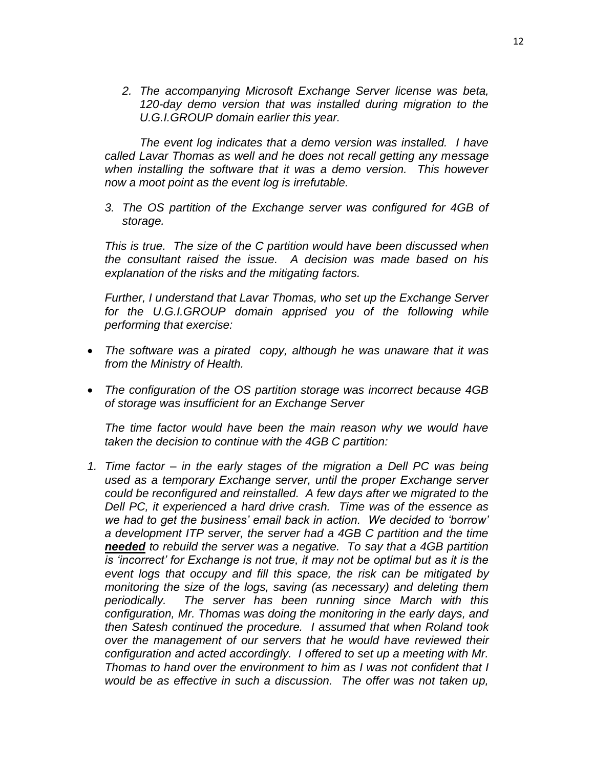*2. The accompanying Microsoft Exchange Server license was beta, 120-day demo version that was installed during migration to the U.G.I.GROUP domain earlier this year.*

*The event log indicates that a demo version was installed. I have called Lavar Thomas as well and he does not recall getting any message when installing the software that it was a demo version. This however now a moot point as the event log is irrefutable.*

*3. The OS partition of the Exchange server was configured for 4GB of storage.*

*This is true. The size of the C partition would have been discussed when the consultant raised the issue. A decision was made based on his explanation of the risks and the mitigating factors.*

*Further, I understand that Lavar Thomas, who set up the Exchange Server for the U.G.I.GROUP domain apprised you of the following while performing that exercise:*

- *The software was a pirated copy, although he was unaware that it was from the Ministry of Health.*
- *The configuration of the OS partition storage was incorrect because 4GB of storage was insufficient for an Exchange Server*

*The time factor would have been the main reason why we would have taken the decision to continue with the 4GB C partition:*

*1. Time factor – in the early stages of the migration a Dell PC was being used as a temporary Exchange server, until the proper Exchange server could be reconfigured and reinstalled. A few days after we migrated to the Dell PC, it experienced a hard drive crash. Time was of the essence as we had to get the business' email back in action. We decided to 'borrow' a development ITP server, the server had a 4GB C partition and the time needed to rebuild the server was a negative. To say that a 4GB partition is 'incorrect' for Exchange is not true, it may not be optimal but as it is the event logs that occupy and fill this space, the risk can be mitigated by monitoring the size of the logs, saving (as necessary) and deleting them periodically. The server has been running since March with this configuration, Mr. Thomas was doing the monitoring in the early days, and then Satesh continued the procedure. I assumed that when Roland took over the management of our servers that he would have reviewed their configuration and acted accordingly. I offered to set up a meeting with Mr. Thomas to hand over the environment to him as I was not confident that I would be as effective in such a discussion. The offer was not taken up,*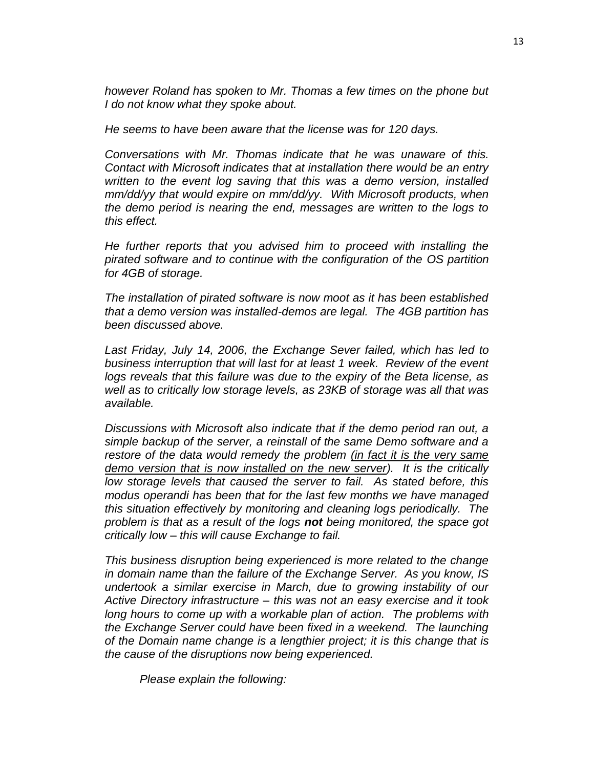*however Roland has spoken to Mr. Thomas a few times on the phone but I do not know what they spoke about.*

*He seems to have been aware that the license was for 120 days.*

*Conversations with Mr. Thomas indicate that he was unaware of this. Contact with Microsoft indicates that at installation there would be an entry written to the event log saving that this was a demo version, installed mm/dd/yy that would expire on mm/dd/yy. With Microsoft products, when the demo period is nearing the end, messages are written to the logs to this effect.*

*He further reports that you advised him to proceed with installing the pirated software and to continue with the configuration of the OS partition for 4GB of storage.*

*The installation of pirated software is now moot as it has been established that a demo version was installed-demos are legal. The 4GB partition has been discussed above.*

*Last Friday, July 14, 2006, the Exchange Sever failed, which has led to business interruption that will last for at least 1 week. Review of the event logs reveals that this failure was due to the expiry of the Beta license, as well as to critically low storage levels, as 23KB of storage was all that was available.*

*Discussions with Microsoft also indicate that if the demo period ran out, a simple backup of the server, a reinstall of the same Demo software and a restore of the data would remedy the problem (in fact it is the very same demo version that is now installed on the new server). It is the critically low storage levels that caused the server to fail. As stated before, this modus operandi has been that for the last few months we have managed this situation effectively by monitoring and cleaning logs periodically. The problem is that as a result of the logs not being monitored, the space got critically low – this will cause Exchange to fail.*

*This business disruption being experienced is more related to the change in domain name than the failure of the Exchange Server. As you know, IS undertook a similar exercise in March, due to growing instability of our Active Directory infrastructure – this was not an easy exercise and it took long hours to come up with a workable plan of action. The problems with the Exchange Server could have been fixed in a weekend. The launching of the Domain name change is a lengthier project; it is this change that is the cause of the disruptions now being experienced.*

*Please explain the following:*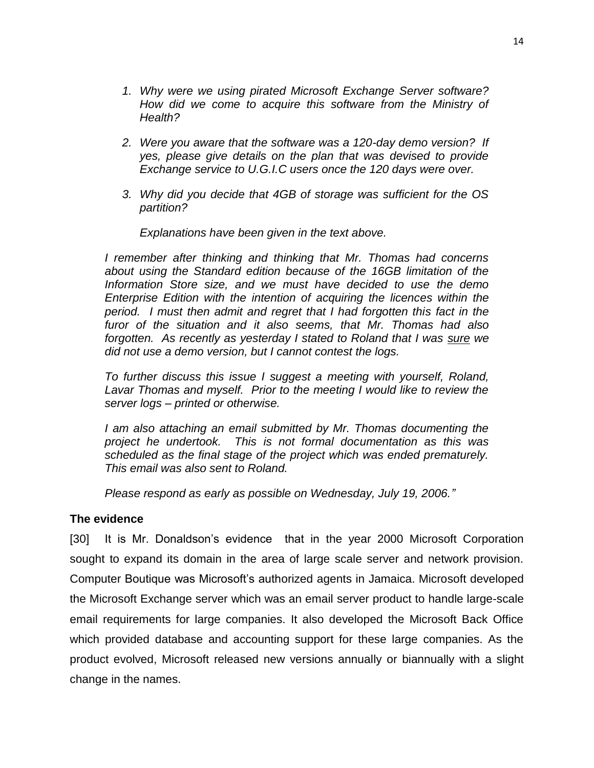- *1. Why were we using pirated Microsoft Exchange Server software? How did we come to acquire this software from the Ministry of Health?*
- *2. Were you aware that the software was a 120-day demo version? If yes, please give details on the plan that was devised to provide Exchange service to U.G.I.C users once the 120 days were over.*
- *3. Why did you decide that 4GB of storage was sufficient for the OS partition?*

#### *Explanations have been given in the text above.*

*I remember after thinking and thinking that Mr. Thomas had concerns about using the Standard edition because of the 16GB limitation of the Information Store size, and we must have decided to use the demo Enterprise Edition with the intention of acquiring the licences within the period. I must then admit and regret that I had forgotten this fact in the furor of the situation and it also seems, that Mr. Thomas had also forgotten. As recently as yesterday I stated to Roland that I was sure we did not use a demo version, but I cannot contest the logs.*

*To further discuss this issue I suggest a meeting with yourself, Roland, Lavar Thomas and myself. Prior to the meeting I would like to review the server logs – printed or otherwise.*

*I am also attaching an email submitted by Mr. Thomas documenting the project he undertook. This is not formal documentation as this was scheduled as the final stage of the project which was ended prematurely. This email was also sent to Roland.*

*Please respond as early as possible on Wednesday, July 19, 2006."*

# **The evidence**

[30] It is Mr. Donaldson's evidence that in the year 2000 Microsoft Corporation sought to expand its domain in the area of large scale server and network provision. Computer Boutique was Microsoft's authorized agents in Jamaica. Microsoft developed the Microsoft Exchange server which was an email server product to handle large-scale email requirements for large companies. It also developed the Microsoft Back Office which provided database and accounting support for these large companies. As the product evolved, Microsoft released new versions annually or biannually with a slight change in the names.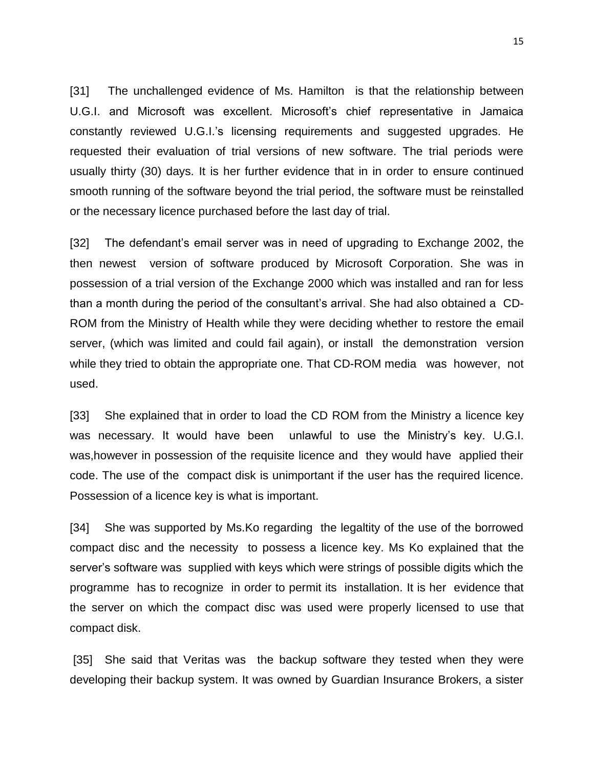[31] The unchallenged evidence of Ms. Hamilton is that the relationship between U.G.I. and Microsoft was excellent. Microsoft's chief representative in Jamaica constantly reviewed U.G.I.'s licensing requirements and suggested upgrades. He requested their evaluation of trial versions of new software. The trial periods were usually thirty (30) days. It is her further evidence that in in order to ensure continued smooth running of the software beyond the trial period, the software must be reinstalled or the necessary licence purchased before the last day of trial.

[32] The defendant's email server was in need of upgrading to Exchange 2002, the then newest version of software produced by Microsoft Corporation. She was in possession of a trial version of the Exchange 2000 which was installed and ran for less than a month during the period of the consultant's arrival. She had also obtained a CD-ROM from the Ministry of Health while they were deciding whether to restore the email server, (which was limited and could fail again), or install the demonstration version while they tried to obtain the appropriate one. That CD-ROM media was however, not used.

[33] She explained that in order to load the CD ROM from the Ministry a licence key was necessary. It would have been unlawful to use the Ministry's key. U.G.I. was,however in possession of the requisite licence and they would have applied their code. The use of the compact disk is unimportant if the user has the required licence. Possession of a licence key is what is important.

[34] She was supported by Ms.Ko regarding the legaltity of the use of the borrowed compact disc and the necessity to possess a licence key. Ms Ko explained that the server's software was supplied with keys which were strings of possible digits which the programme has to recognize in order to permit its installation. It is her evidence that the server on which the compact disc was used were properly licensed to use that compact disk.

[35] She said that Veritas was the backup software they tested when they were developing their backup system. It was owned by Guardian Insurance Brokers, a sister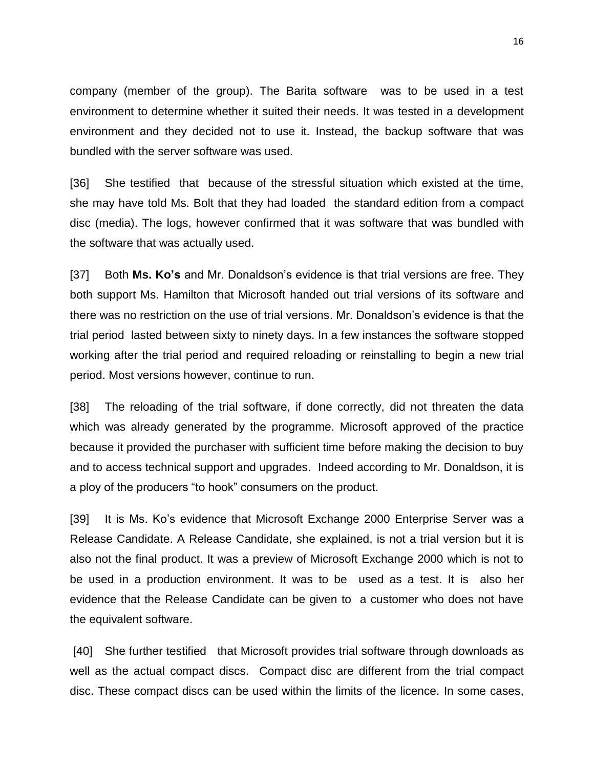company (member of the group). The Barita software was to be used in a test environment to determine whether it suited their needs. It was tested in a development environment and they decided not to use it. Instead, the backup software that was bundled with the server software was used.

[36] She testified that because of the stressful situation which existed at the time, she may have told Ms. Bolt that they had loaded the standard edition from a compact disc (media). The logs, however confirmed that it was software that was bundled with the software that was actually used.

[37] Both **Ms. Ko's** and Mr. Donaldson's evidence is that trial versions are free. They both support Ms. Hamilton that Microsoft handed out trial versions of its software and there was no restriction on the use of trial versions. Mr. Donaldson's evidence is that the trial period lasted between sixty to ninety days. In a few instances the software stopped working after the trial period and required reloading or reinstalling to begin a new trial period. Most versions however, continue to run.

[38] The reloading of the trial software, if done correctly, did not threaten the data which was already generated by the programme. Microsoft approved of the practice because it provided the purchaser with sufficient time before making the decision to buy and to access technical support and upgrades. Indeed according to Mr. Donaldson, it is a ploy of the producers "to hook" consumers on the product.

[39] It is Ms. Ko's evidence that Microsoft Exchange 2000 Enterprise Server was a Release Candidate. A Release Candidate, she explained, is not a trial version but it is also not the final product. It was a preview of Microsoft Exchange 2000 which is not to be used in a production environment. It was to be used as a test. It is also her evidence that the Release Candidate can be given to a customer who does not have the equivalent software.

[40] She further testified that Microsoft provides trial software through downloads as well as the actual compact discs. Compact disc are different from the trial compact disc. These compact discs can be used within the limits of the licence. In some cases,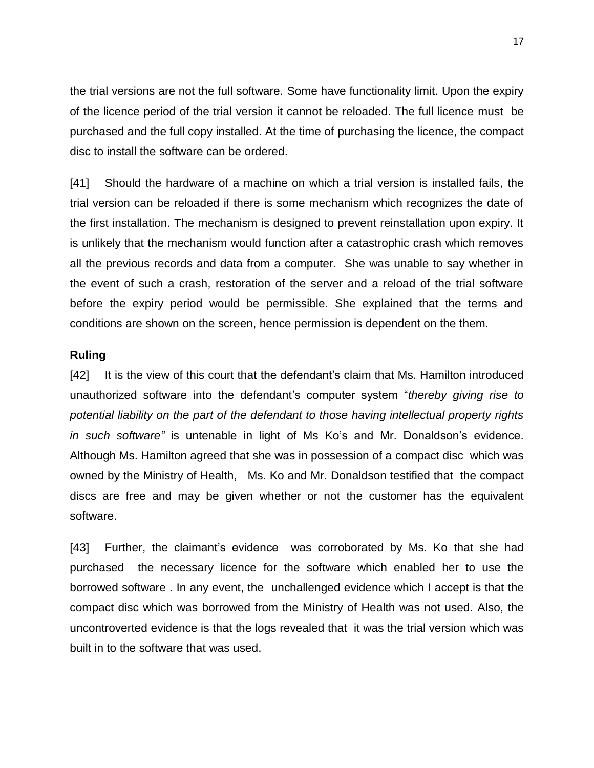the trial versions are not the full software. Some have functionality limit. Upon the expiry of the licence period of the trial version it cannot be reloaded. The full licence must be purchased and the full copy installed. At the time of purchasing the licence, the compact disc to install the software can be ordered.

[41] Should the hardware of a machine on which a trial version is installed fails, the trial version can be reloaded if there is some mechanism which recognizes the date of the first installation. The mechanism is designed to prevent reinstallation upon expiry. It is unlikely that the mechanism would function after a catastrophic crash which removes all the previous records and data from a computer. She was unable to say whether in the event of such a crash, restoration of the server and a reload of the trial software before the expiry period would be permissible. She explained that the terms and conditions are shown on the screen, hence permission is dependent on the them.

## **Ruling**

[42] It is the view of this court that the defendant's claim that Ms. Hamilton introduced unauthorized software into the defendant's computer system "*thereby giving rise to potential liability on the part of the defendant to those having intellectual property rights in such software"* is untenable in light of Ms Ko's and Mr. Donaldson's evidence. Although Ms. Hamilton agreed that she was in possession of a compact disc which was owned by the Ministry of Health, Ms. Ko and Mr. Donaldson testified that the compact discs are free and may be given whether or not the customer has the equivalent software.

[43] Further, the claimant's evidence was corroborated by Ms. Ko that she had purchased the necessary licence for the software which enabled her to use the borrowed software . In any event, the unchallenged evidence which I accept is that the compact disc which was borrowed from the Ministry of Health was not used. Also, the uncontroverted evidence is that the logs revealed that it was the trial version which was built in to the software that was used.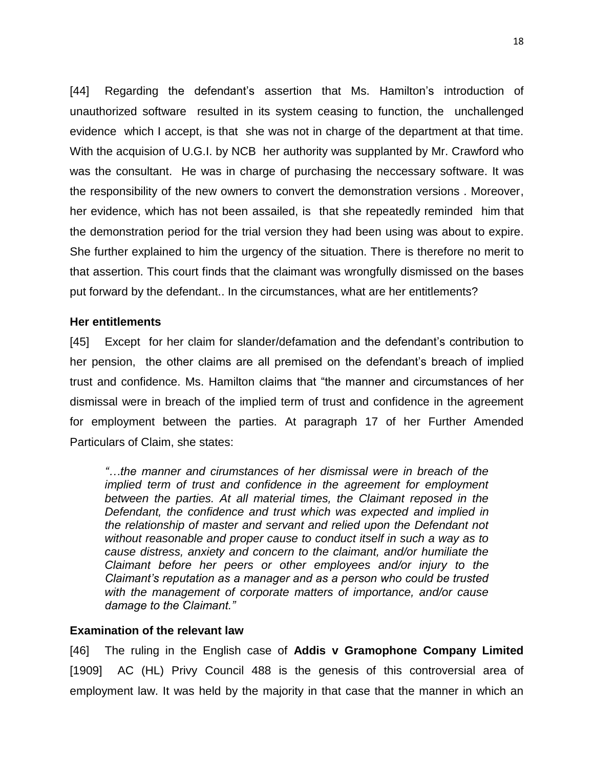[44] Regarding the defendant's assertion that Ms. Hamilton's introduction of unauthorized software resulted in its system ceasing to function, the unchallenged evidence which I accept, is that she was not in charge of the department at that time. With the acquision of U.G.I. by NCB her authority was supplanted by Mr. Crawford who was the consultant. He was in charge of purchasing the neccessary software. It was the responsibility of the new owners to convert the demonstration versions . Moreover, her evidence, which has not been assailed, is that she repeatedly reminded him that the demonstration period for the trial version they had been using was about to expire. She further explained to him the urgency of the situation. There is therefore no merit to that assertion. This court finds that the claimant was wrongfully dismissed on the bases put forward by the defendant.. In the circumstances, what are her entitlements?

#### **Her entitlements**

[45] Except for her claim for slander/defamation and the defendant's contribution to her pension, the other claims are all premised on the defendant's breach of implied trust and confidence. Ms. Hamilton claims that "the manner and circumstances of her dismissal were in breach of the implied term of trust and confidence in the agreement for employment between the parties. At paragraph 17 of her Further Amended Particulars of Claim, she states:

*"…the manner and cirumstances of her dismissal were in breach of the implied term of trust and confidence in the agreement for employment between the parties. At all material times, the Claimant reposed in the Defendant, the confidence and trust which was expected and implied in the relationship of master and servant and relied upon the Defendant not without reasonable and proper cause to conduct itself in such a way as to cause distress, anxiety and concern to the claimant, and/or humiliate the Claimant before her peers or other employees and/or injury to the Claimant's reputation as a manager and as a person who could be trusted with the management of corporate matters of importance, and/or cause damage to the Claimant."*

### **Examination of the relevant law**

[46] The ruling in the English case of **Addis v Gramophone Company Limited** [1909] AC (HL) Privy Council 488 is the genesis of this controversial area of employment law. It was held by the majority in that case that the manner in which an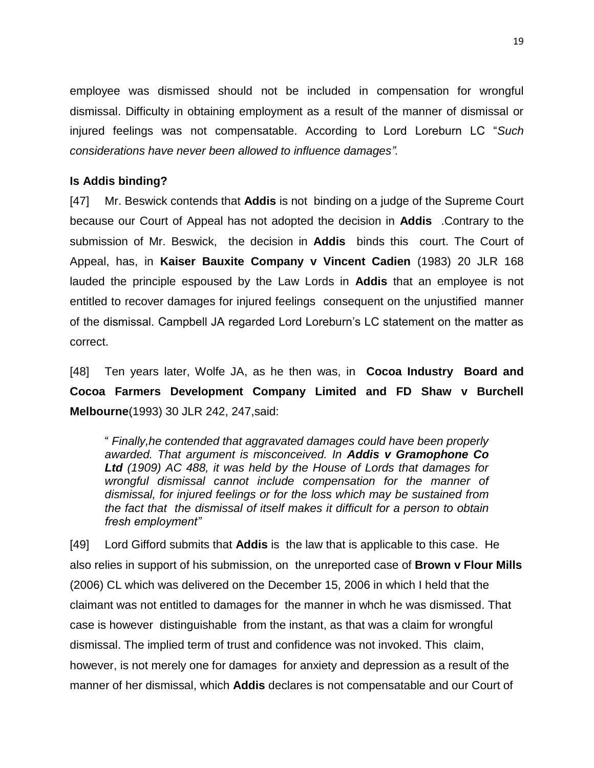employee was dismissed should not be included in compensation for wrongful dismissal. Difficulty in obtaining employment as a result of the manner of dismissal or injured feelings was not compensatable. According to Lord Loreburn LC "*Such considerations have never been allowed to influence damages".*

## **Is Addis binding?**

[47] Mr. Beswick contends that **Addis** is not binding on a judge of the Supreme Court because our Court of Appeal has not adopted the decision in **Addis** .Contrary to the submission of Mr. Beswick, the decision in **Addis** binds this court. The Court of Appeal, has, in **Kaiser Bauxite Company v Vincent Cadien** (1983) 20 JLR 168 lauded the principle espoused by the Law Lords in **Addis** that an employee is not entitled to recover damages for injured feelings consequent on the unjustified manner of the dismissal. Campbell JA regarded Lord Loreburn's LC statement on the matter as correct.

[48] Ten years later, Wolfe JA, as he then was, in **Cocoa Industry Board and Cocoa Farmers Development Company Limited and FD Shaw v Burchell Melbourne**(1993) 30 JLR 242, 247,said:

" *Finally,he contended that aggravated damages could have been properly awarded. That argument is misconceived. In Addis v Gramophone Co Ltd (1909) AC 488, it was held by the House of Lords that damages for wrongful dismissal cannot include compensation for the manner of dismissal, for injured feelings or for the loss which may be sustained from the fact that the dismissal of itself makes it difficult for a person to obtain fresh employment"*

[49] Lord Gifford submits that **Addis** is the law that is applicable to this case. He also relies in support of his submission, on the unreported case of **Brown v Flour Mills** (2006) CL which was delivered on the December 15, 2006 in which I held that the claimant was not entitled to damages for the manner in whch he was dismissed. That case is however distinguishable from the instant, as that was a claim for wrongful dismissal. The implied term of trust and confidence was not invoked. This claim, however, is not merely one for damages for anxiety and depression as a result of the manner of her dismissal, which **Addis** declares is not compensatable and our Court of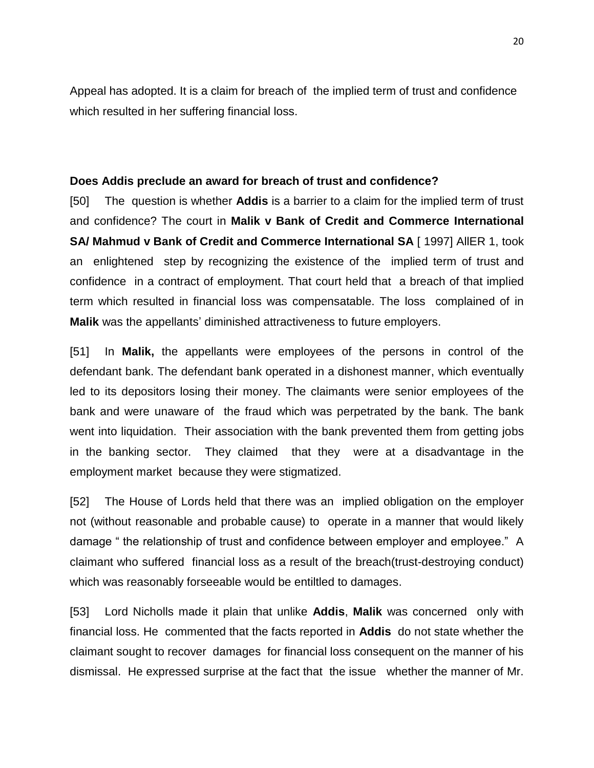Appeal has adopted. It is a claim for breach of the implied term of trust and confidence which resulted in her suffering financial loss.

#### **Does Addis preclude an award for breach of trust and confidence?**

[50] The question is whether **Addis** is a barrier to a claim for the implied term of trust and confidence? The court in **Malik v Bank of Credit and Commerce International SA/ Mahmud v Bank of Credit and Commerce International SA [1997] AllER 1, took** an enlightened step by recognizing the existence of the implied term of trust and confidence in a contract of employment. That court held that a breach of that implied term which resulted in financial loss was compensatable. The loss complained of in **Malik** was the appellants' diminished attractiveness to future employers.

[51] In **Malik,** the appellants were employees of the persons in control of the defendant bank. The defendant bank operated in a dishonest manner, which eventually led to its depositors losing their money. The claimants were senior employees of the bank and were unaware of the fraud which was perpetrated by the bank. The bank went into liquidation. Their association with the bank prevented them from getting jobs in the banking sector. They claimed that they were at a disadvantage in the employment market because they were stigmatized.

[52] The House of Lords held that there was an implied obligation on the employer not (without reasonable and probable cause) to operate in a manner that would likely damage " the relationship of trust and confidence between employer and employee." A claimant who suffered financial loss as a result of the breach(trust-destroying conduct) which was reasonably forseeable would be entiltled to damages.

[53] Lord Nicholls made it plain that unlike **Addis**, **Malik** was concerned only with financial loss. He commented that the facts reported in **Addis** do not state whether the claimant sought to recover damages for financial loss consequent on the manner of his dismissal. He expressed surprise at the fact that the issue whether the manner of Mr.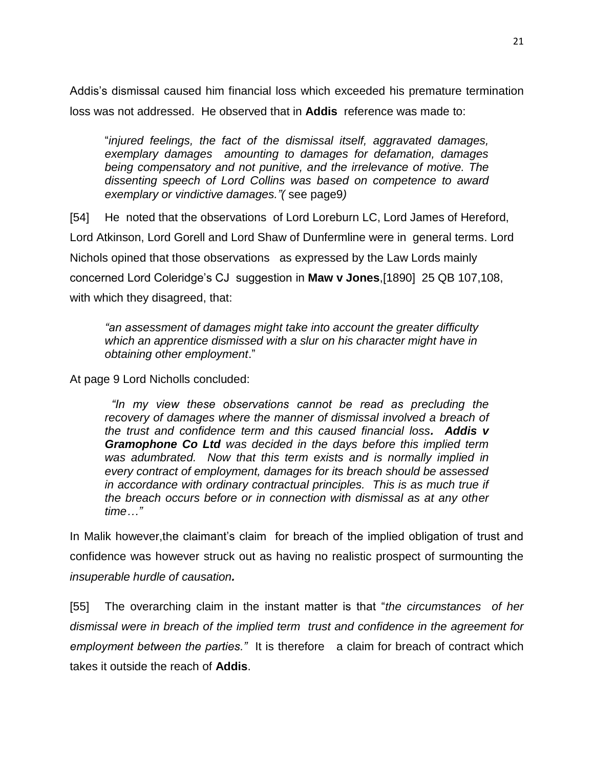Addis's dismissal caused him financial loss which exceeded his premature termination loss was not addressed. He observed that in **Addis** reference was made to:

"*injured feelings, the fact of the dismissal itself, aggravated damages, exemplary damages amounting to damages for defamation, damages being compensatory and not punitive, and the irrelevance of motive. The dissenting speech of Lord Collins was based on competence to award exemplary or vindictive damages."(* see page9*)*

[54] He noted that the observations of Lord Loreburn LC, Lord James of Hereford, Lord Atkinson, Lord Gorell and Lord Shaw of Dunfermline were in general terms. Lord Nichols opined that those observations as expressed by the Law Lords mainly concerned Lord Coleridge's CJ suggestion in **Maw v Jones**,[1890] 25 QB 107,108, with which they disagreed, that:

*"an assessment of damages might take into account the greater difficulty which an apprentice dismissed with a slur on his character might have in obtaining other employment*."

At page 9 Lord Nicholls concluded:

 *"In my view these observations cannot be read as precluding the*  recovery of damages where the manner of dismissal involved a breach of *the trust and confidence term and this caused financial loss. Addis v Gramophone Co Ltd was decided in the days before this implied term was adumbrated. Now that this term exists and is normally implied in every contract of employment, damages for its breach should be assessed in accordance with ordinary contractual principles. This is as much true if the breach occurs before or in connection with dismissal as at any other time…"*

In Malik however, the claimant's claim for breach of the implied obligation of trust and confidence was however struck out as having no realistic prospect of surmounting the *insuperable hurdle of causation.*

[55] The overarching claim in the instant matter is that "*the circumstances of her dismissal were in breach of the implied term trust and confidence in the agreement for employment between the parties."* It is therefore a claim for breach of contract which takes it outside the reach of **Addis**.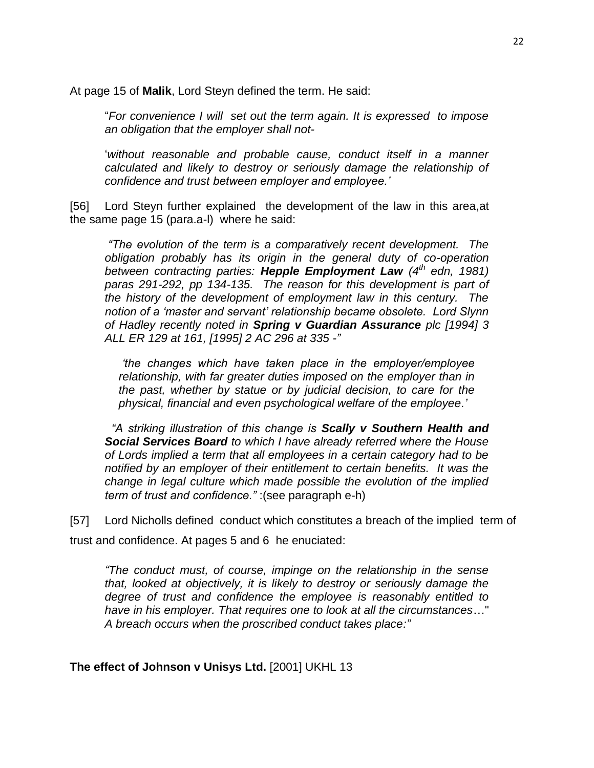At page 15 of **Malik**, Lord Steyn defined the term. He said:

"*For convenience I will set out the term again. It is expressed to impose an obligation that the employer shall not-*

'*without reasonable and probable cause, conduct itself in a manner calculated and likely to destroy or seriously damage the relationship of confidence and trust between employer and employee.'*

[56] Lord Steyn further explained the development of the law in this area,at the same page 15 (para.a-l) where he said:

*"The evolution of the term is a comparatively recent development. The obligation probably has its origin in the general duty of co-operation between contracting parties: Hepple Employment Law (4th edn, 1981) paras 291-292, pp 134-135. The reason for this development is part of the history of the development of employment law in this century. The notion of a 'master and servant' relationship became obsolete. Lord Slynn of Hadley recently noted in Spring v Guardian Assurance plc [1994] 3 ALL ER 129 at 161, [1995] 2 AC 296 at 335 -"*

*'the changes which have taken place in the employer/employee relationship, with far greater duties imposed on the employer than in the past, whether by statue or by judicial decision, to care for the physical, financial and even psychological welfare of the employee.'*

 *"A striking illustration of this change is Scally v Southern Health and Social Services Board to which I have already referred where the House of Lords implied a term that all employees in a certain category had to be notified by an employer of their entitlement to certain benefits. It was the change in legal culture which made possible the evolution of the implied term of trust and confidence."* :(see paragraph e-h)

[57] Lord Nicholls defined conduct which constitutes a breach of the implied term of trust and confidence. At pages 5 and 6 he enuciated:

*"The conduct must, of course, impinge on the relationship in the sense that, looked at objectively, it is likely to destroy or seriously damage the degree of trust and confidence the employee is reasonably entitled to have in his employer. That requires one to look at all the circumstances*…" *A breach occurs when the proscribed conduct takes place:"*

**The effect of Johnson v Unisys Ltd.** [2001] UKHL 13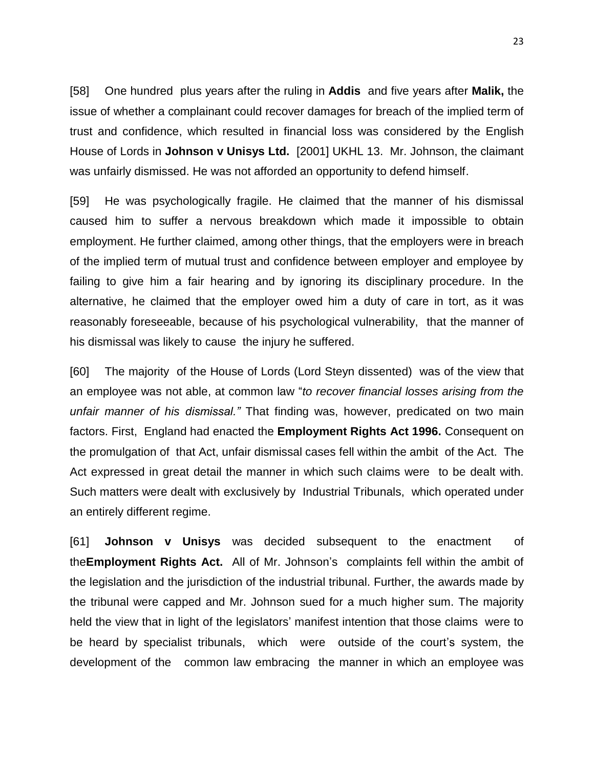[58] One hundred plus years after the ruling in **Addis** and five years after **Malik,** the issue of whether a complainant could recover damages for breach of the implied term of trust and confidence, which resulted in financial loss was considered by the English House of Lords in **Johnson v Unisys Ltd.** [2001] UKHL 13. Mr. Johnson, the claimant was unfairly dismissed. He was not afforded an opportunity to defend himself.

[59] He was psychologically fragile. He claimed that the manner of his dismissal caused him to suffer a nervous breakdown which made it impossible to obtain employment. He further claimed, among other things, that the employers were in breach of the implied term of mutual trust and confidence between employer and employee by failing to give him a fair hearing and by ignoring its disciplinary procedure. In the alternative, he claimed that the employer owed him a duty of care in tort, as it was reasonably foreseeable, because of his psychological vulnerability, that the manner of his dismissal was likely to cause the injury he suffered.

[60] The majority of the House of Lords (Lord Steyn dissented) was of the view that an employee was not able, at common law "*to recover financial losses arising from the unfair manner of his dismissal."* That finding was, however, predicated on two main factors. First, England had enacted the **Employment Rights Act 1996.** Consequent on the promulgation of that Act, unfair dismissal cases fell within the ambit of the Act. The Act expressed in great detail the manner in which such claims were to be dealt with. Such matters were dealt with exclusively by Industrial Tribunals, which operated under an entirely different regime.

[61] **Johnson v Unisys** was decided subsequent to the enactment of the**Employment Rights Act.** All of Mr. Johnson's complaints fell within the ambit of the legislation and the jurisdiction of the industrial tribunal. Further, the awards made by the tribunal were capped and Mr. Johnson sued for a much higher sum. The majority held the view that in light of the legislators' manifest intention that those claims were to be heard by specialist tribunals, which were outside of the court's system, the development of the common law embracing the manner in which an employee was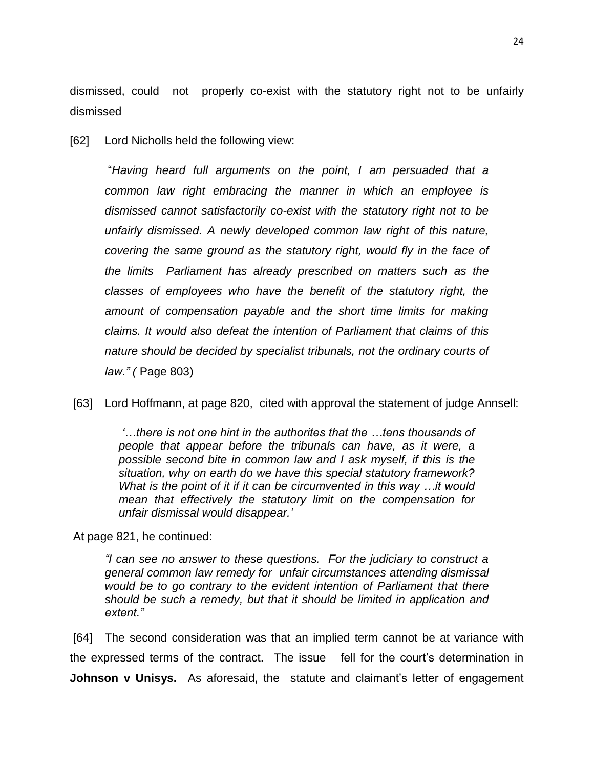dismissed, could not properly co-exist with the statutory right not to be unfairly dismissed

[62] Lord Nicholls held the following view:

"*Having heard full arguments on the point, I am persuaded that a common law right embracing the manner in which an employee is dismissed cannot satisfactorily co-exist with the statutory right not to be unfairly dismissed. A newly developed common law right of this nature, covering the same ground as the statutory right, would fly in the face of the limits Parliament has already prescribed on matters such as the classes of employees who have the benefit of the statutory right, the amount of compensation payable and the short time limits for making claims. It would also defeat the intention of Parliament that claims of this nature should be decided by specialist tribunals, not the ordinary courts of law." (* Page 803)

[63] Lord Hoffmann, at page 820, cited with approval the statement of judge Annsell:

*'…there is not one hint in the authorites that the …tens thousands of people that appear before the tribunals can have, as it were, a possible second bite in common law and I ask myself, if this is the situation, why on earth do we have this special statutory framework? What is the point of it if it can be circumvented in this way …it would mean that effectively the statutory limit on the compensation for unfair dismissal would disappear.'*

At page 821, he continued:

*"I can see no answer to these questions. For the judiciary to construct a general common law remedy for unfair circumstances attending dismissal would be to go contrary to the evident intention of Parliament that there should be such a remedy, but that it should be limited in application and extent."*

[64] The second consideration was that an implied term cannot be at variance with the expressed terms of the contract. The issue fell for the court's determination in **Johnson v Unisys.** As aforesaid, thestatute and claimant's letter of engagement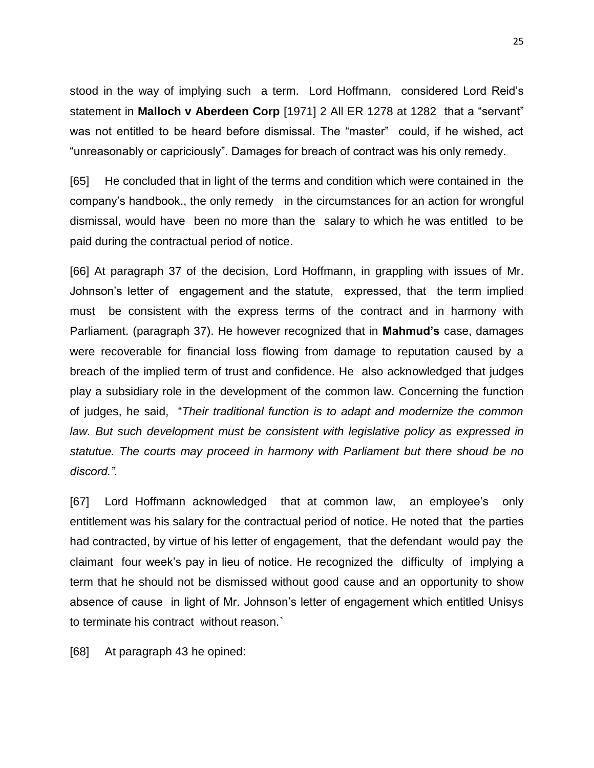stood in the way of implying such a term. Lord Hoffmann, considered Lord Reid's statement in **Malloch v Aberdeen Corp** [1971] 2 All ER 1278 at 1282 that a "servant" was not entitled to be heard before dismissal. The "master" could, if he wished, act "unreasonably or capriciously". Damages for breach of contract was his only remedy.

[65] He concluded that in light of the terms and condition which were contained in the company's handbook., the only remedy in the circumstances for an action for wrongful dismissal, would have been no more than the salary to which he was entitled to be paid during the contractual period of notice.

[66] At paragraph 37 of the decision, Lord Hoffmann, in grappling with issues of Mr. Johnson's letter of engagement and the statute, expressed, that the term implied must be consistent with the express terms of the contract and in harmony with Parliament. (paragraph 37). He however recognized that in **Mahmud's** case, damages were recoverable for financial loss flowing from damage to reputation caused by a breach of the implied term of trust and confidence. He also acknowledged that judges play a subsidiary role in the development of the common law. Concerning the function of judges, he said, "*Their traditional function is to adapt and modernize the common*  law. But such development must be consistent with legislative policy as expressed in *statutue. The courts may proceed in harmony with Parliament but there shoud be no discord.".*

[67] Lord Hoffmann acknowledged that at common law, an employee's only entitlement was his salary for the contractual period of notice. He noted that the parties had contracted, by virtue of his letter of engagement, that the defendant would pay the claimant four week's pay in lieu of notice. He recognized the difficulty of implying a term that he should not be dismissed without good cause and an opportunity to show absence of cause in light of Mr. Johnson's letter of engagement which entitled Unisys to terminate his contract without reason.`

[68] At paragraph 43 he opined: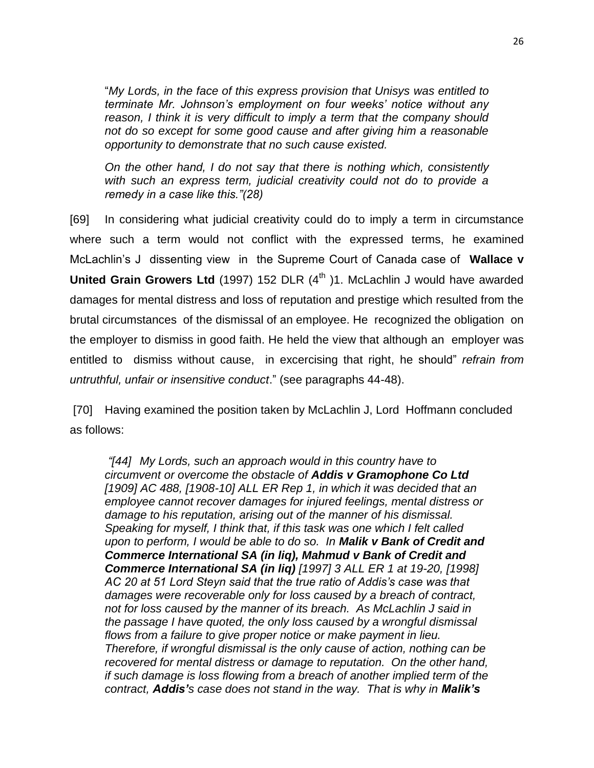"*My Lords, in the face of this express provision that Unisys was entitled to terminate Mr. Johnson's employment on four weeks' notice without any reason, I think it is very difficult to imply a term that the company should not do so except for some good cause and after giving him a reasonable opportunity to demonstrate that no such cause existed.*

*On the other hand, I do not say that there is nothing which, consistently with such an express term, judicial creativity could not do to provide a remedy in a case like this."(28)*

[69] In considering what judicial creativity could do to imply a term in circumstance where such a term would not conflict with the expressed terms, he examined McLachlin's J dissenting view in the Supreme Court of Canada case of **Wallace v United Grain Growers Ltd** (1997) 152 DLR (4<sup>th</sup>)1. McLachlin J would have awarded damages for mental distress and loss of reputation and prestige which resulted from the brutal circumstances of the dismissal of an employee. He recognized the obligation on the employer to dismiss in good faith. He held the view that although an employer was entitled to dismiss without cause, in excercising that right, he should" *refrain from untruthful, unfair or insensitive conduct*." (see paragraphs 44-48).

[70] Having examined the position taken by McLachlin J, Lord Hoffmann concluded as follows:

*"[44] My Lords, such an approach would in this country have to circumvent or overcome the obstacle of Addis v Gramophone Co Ltd [1909] AC 488, [1908-10] ALL ER Rep 1, in which it was decided that an employee cannot recover damages for injured feelings, mental distress or damage to his reputation, arising out of the manner of his dismissal. Speaking for myself, I think that, if this task was one which I felt called upon to perform, I would be able to do so. In Malik v Bank of Credit and Commerce International SA (in liq), Mahmud v Bank of Credit and Commerce International SA (in liq) [1997] 3 ALL ER 1 at 19-20, [1998] AC 20 at 51 Lord Steyn said that the true ratio of Addis's case was that damages were recoverable only for loss caused by a breach of contract, not for loss caused by the manner of its breach. As McLachlin J said in the passage I have quoted, the only loss caused by a wrongful dismissal flows from a failure to give proper notice or make payment in lieu. Therefore, if wrongful dismissal is the only cause of action, nothing can be recovered for mental distress or damage to reputation. On the other hand, if such damage is loss flowing from a breach of another implied term of the contract, Addis's case does not stand in the way. That is why in Malik's*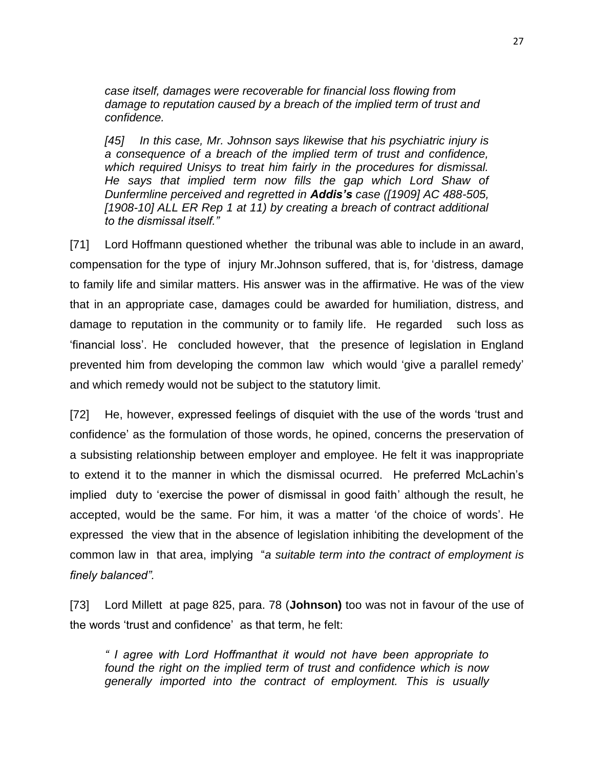*case itself, damages were recoverable for financial loss flowing from damage to reputation caused by a breach of the implied term of trust and confidence.*

*[45] In this case, Mr. Johnson says likewise that his psychiatric injury is a consequence of a breach of the implied term of trust and confidence, which required Unisys to treat him fairly in the procedures for dismissal. He says that implied term now fills the gap which Lord Shaw of Dunfermline perceived and regretted in Addis's case ([1909] AC 488-505, [1908-10] ALL ER Rep 1 at 11) by creating a breach of contract additional to the dismissal itself."*

[71] Lord Hoffmann questioned whether the tribunal was able to include in an award, compensation for the type of injury Mr.Johnson suffered, that is, for 'distress, damage to family life and similar matters. His answer was in the affirmative. He was of the view that in an appropriate case, damages could be awarded for humiliation, distress, and damage to reputation in the community or to family life. He regarded such loss as 'financial loss'. He concluded however, that the presence of legislation in England prevented him from developing the common law which would 'give a parallel remedy' and which remedy would not be subject to the statutory limit.

[72] He, however, expressed feelings of disquiet with the use of the words 'trust and confidence' as the formulation of those words, he opined, concerns the preservation of a subsisting relationship between employer and employee. He felt it was inappropriate to extend it to the manner in which the dismissal ocurred. He preferred McLachin's implied duty to 'exercise the power of dismissal in good faith' although the result, he accepted, would be the same. For him, it was a matter 'of the choice of words'. He expressed the view that in the absence of legislation inhibiting the development of the common law in that area, implying "*a suitable term into the contract of employment is finely balanced".*

[73] Lord Millett at page 825, para. 78 (**Johnson)** too was not in favour of the use of the words 'trust and confidence' as that term, he felt:

*" I agree with Lord Hoffmanthat it would not have been appropriate to found the right on the implied term of trust and confidence which is now generally imported into the contract of employment. This is usually*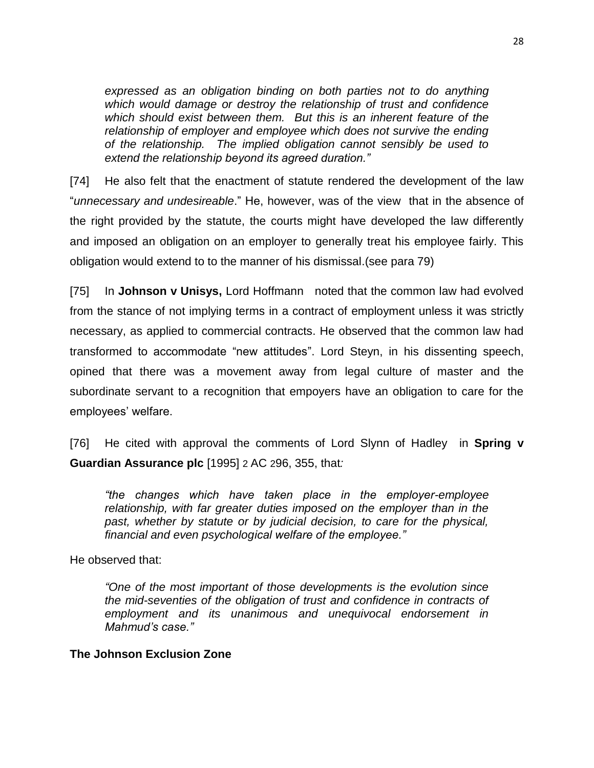*expressed as an obligation binding on both parties not to do anything which would damage or destroy the relationship of trust and confidence which should exist between them. But this is an inherent feature of the relationship of employer and employee which does not survive the ending of the relationship. The implied obligation cannot sensibly be used to extend the relationship beyond its agreed duration."*

[74] He also felt that the enactment of statute rendered the development of the law "*unnecessary and undesireable*." He, however, was of the view that in the absence of the right provided by the statute, the courts might have developed the law differently and imposed an obligation on an employer to generally treat his employee fairly. This obligation would extend to to the manner of his dismissal.(see para 79)

[75] In **Johnson v Unisys,** Lord Hoffmann noted that the common law had evolved from the stance of not implying terms in a contract of employment unless it was strictly necessary, as applied to commercial contracts. He observed that the common law had transformed to accommodate "new attitudes". Lord Steyn, in his dissenting speech, opined that there was a movement away from legal culture of master and the subordinate servant to a recognition that empoyers have an obligation to care for the employees' welfare.

[76] He cited with approval the comments of Lord Slynn of Hadley in **Spring v Guardian Assurance plc** [1995] 2 AC 296, 355, that*:*

*"the changes which have taken place in the employer-employee relationship, with far greater duties imposed on the employer than in the past, whether by statute or by judicial decision, to care for the physical, financial and even psychological welfare of the employee."*

He observed that:

*"One of the most important of those developments is the evolution since the mid-seventies of the obligation of trust and confidence in contracts of employment and its unanimous and unequivocal endorsement in Mahmud's case."*

# **The Johnson Exclusion Zone**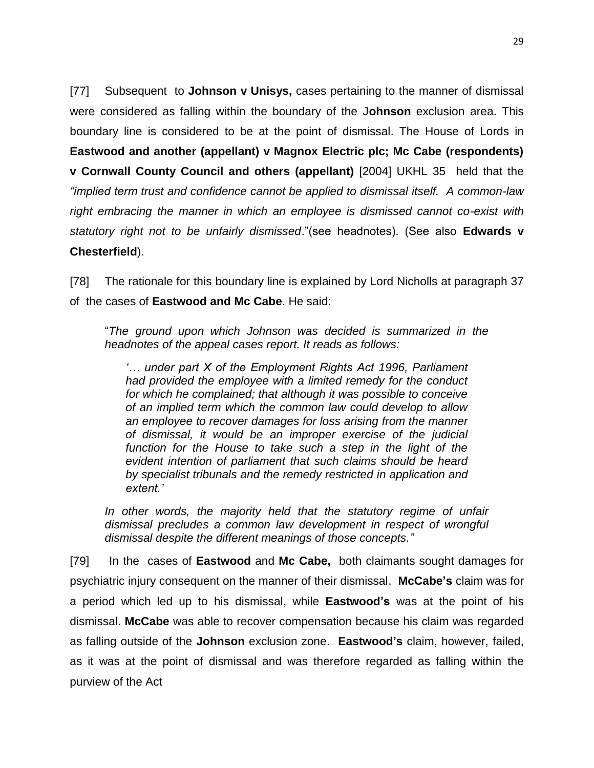[77] Subsequent to **Johnson v Unisys,** cases pertaining to the manner of dismissal were considered as falling within the boundary of the J**ohnson** exclusion area. This boundary line is considered to be at the point of dismissal. The House of Lords in **Eastwood and another (appellant) v Magnox Electric plc; Mc Cabe (respondents) v Cornwall County Council and others (appellant)** [2004] UKHL 35 held that the *"implied term trust and confidence cannot be applied to dismissal itself. A common-law right embracing the manner in which an employee is dismissed cannot co-exist with statutory right not to be unfairly dismissed*."(see headnotes). (See also **Edwards v Chesterfield**).

[78] The rationale for this boundary line is explained by Lord Nicholls at paragraph 37 of the cases of **Eastwood and Mc Cabe**. He said:

"*The ground upon which Johnson was decided is summarized in the headnotes of the appeal cases report. It reads as follows:*

*'… under part X of the Employment Rights Act 1996, Parliament had provided the employee with a limited remedy for the conduct for which he complained; that although it was possible to conceive of an implied term which the common law could develop to allow an employee to recover damages for loss arising from the manner of dismissal, it would be an improper exercise of the judicial*  function for the House to take such a step in the light of the *evident intention of parliament that such claims should be heard by specialist tribunals and the remedy restricted in application and extent.'*

*In other words, the majority held that the statutory regime of unfair dismissal precludes a common law development in respect of wrongful dismissal despite the different meanings of those concepts."*

[79] In the cases of **Eastwood** and **Mc Cabe,** both claimants sought damages for psychiatric injury consequent on the manner of their dismissal. **McCabe's** claim was for a period which led up to his dismissal, while **Eastwood's** was at the point of his dismissal. **McCabe** was able to recover compensation because his claim was regarded as falling outside of the **Johnson** exclusion zone. **Eastwood's** claim, however, failed, as it was at the point of dismissal and was therefore regarded as falling within the purview of the Act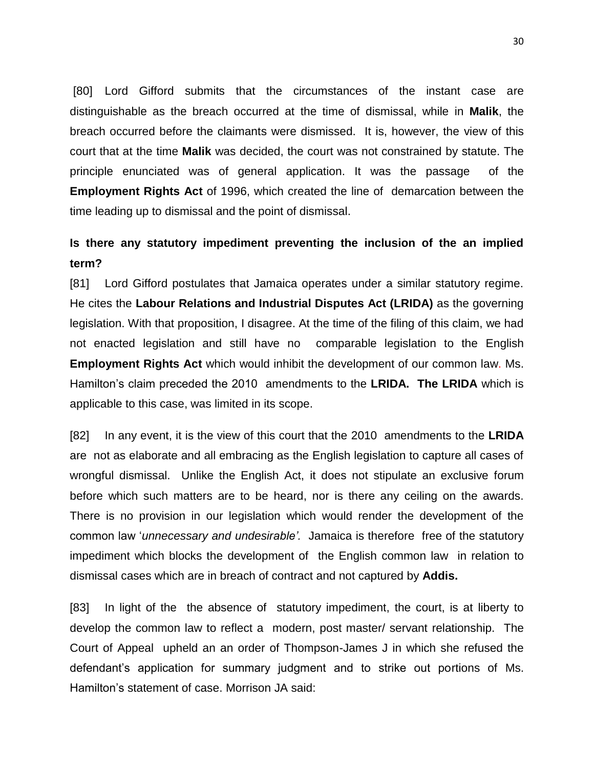[80] Lord Gifford submits that the circumstances of the instant case are distinguishable as the breach occurred at the time of dismissal, while in **Malik**, the breach occurred before the claimants were dismissed. It is, however, the view of this court that at the time **Malik** was decided, the court was not constrained by statute. The principle enunciated was of general application. It was the passage of the **Employment Rights Act** of 1996, which created the line of demarcation between the time leading up to dismissal and the point of dismissal.

# **Is there any statutory impediment preventing the inclusion of the an implied term?**

[81] Lord Gifford postulates that Jamaica operates under a similar statutory regime. He cites the **Labour Relations and Industrial Disputes Act (LRIDA)** as the governing legislation. With that proposition, I disagree. At the time of the filing of this claim, we had not enacted legislation and still have no comparable legislation to the English **Employment Rights Act** which would inhibit the development of our common law. Ms. Hamilton's claim preceded the 2010 amendments to the **LRIDA. The LRIDA** which is applicable to this case, was limited in its scope.

[82] In any event, it is the view of this court that the 2010 amendments to the **LRIDA** are not as elaborate and all embracing as the English legislation to capture all cases of wrongful dismissal. Unlike the English Act, it does not stipulate an exclusive forum before which such matters are to be heard, nor is there any ceiling on the awards. There is no provision in our legislation which would render the development of the common law '*unnecessary and undesirable'.* Jamaica is therefore free of the statutory impediment which blocks the development of the English common law in relation to dismissal cases which are in breach of contract and not captured by **Addis.**

[83] In light of the the absence of statutory impediment, the court, is at liberty to develop the common law to reflect a modern, post master/ servant relationship. The Court of Appeal upheld an an order of Thompson-James J in which she refused the defendant's application for summary judgment and to strike out portions of Ms. Hamilton's statement of case. Morrison JA said: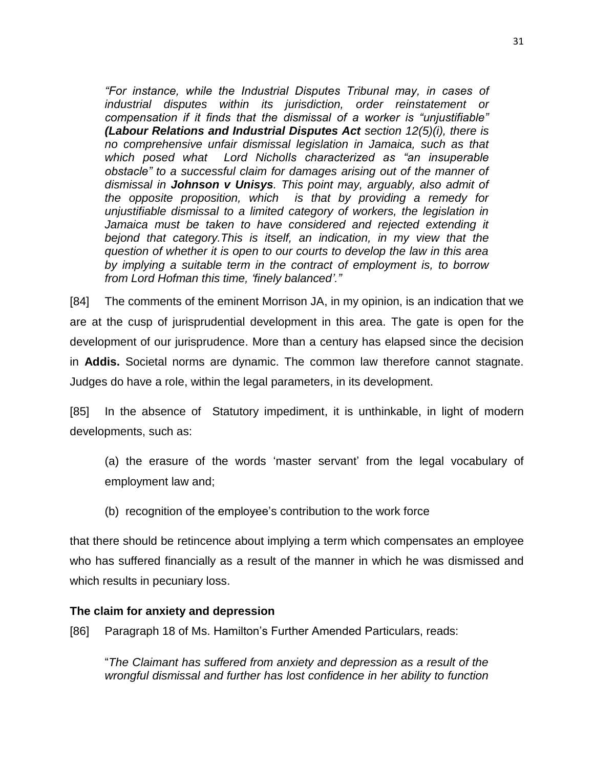*"For instance, while the Industrial Disputes Tribunal may, in cases of industrial disputes within its jurisdiction, order reinstatement or compensation if it finds that the dismissal of a worker is "unjustifiable" (Labour Relations and Industrial Disputes Act section 12(5)(i), there is no comprehensive unfair dismissal legislation in Jamaica, such as that which posed what Lord Nicholls characterized as "an insuperable obstacle" to a successful claim for damages arising out of the manner of dismissal in Johnson v Unisys. This point may, arguably, also admit of the opposite proposition, which is that by providing a remedy for unjustifiable dismissal to a limited category of workers, the legislation in*  Jamaica must be taken to have considered and rejected extending it *bejond that category.This is itself, an indication, in my view that the question of whether it is open to our courts to develop the law in this area by implying a suitable term in the contract of employment is, to borrow from Lord Hofman this time, 'finely balanced'."*

[84] The comments of the eminent Morrison JA, in my opinion, is an indication that we are at the cusp of jurisprudential development in this area. The gate is open for the development of our jurisprudence. More than a century has elapsed since the decision in **Addis.** Societal norms are dynamic. The common law therefore cannot stagnate. Judges do have a role, within the legal parameters, in its development.

[85] In the absence of Statutory impediment, it is unthinkable, in light of modern developments, such as:

(a) the erasure of the words 'master servant' from the legal vocabulary of employment law and;

(b) recognition of the employee's contribution to the work force

that there should be retincence about implying a term which compensates an employee who has suffered financially as a result of the manner in which he was dismissed and which results in pecuniary loss.

### **The claim for anxiety and depression**

[86] Paragraph 18 of Ms. Hamilton's Further Amended Particulars, reads:

"*The Claimant has suffered from anxiety and depression as a result of the wrongful dismissal and further has lost confidence in her ability to function*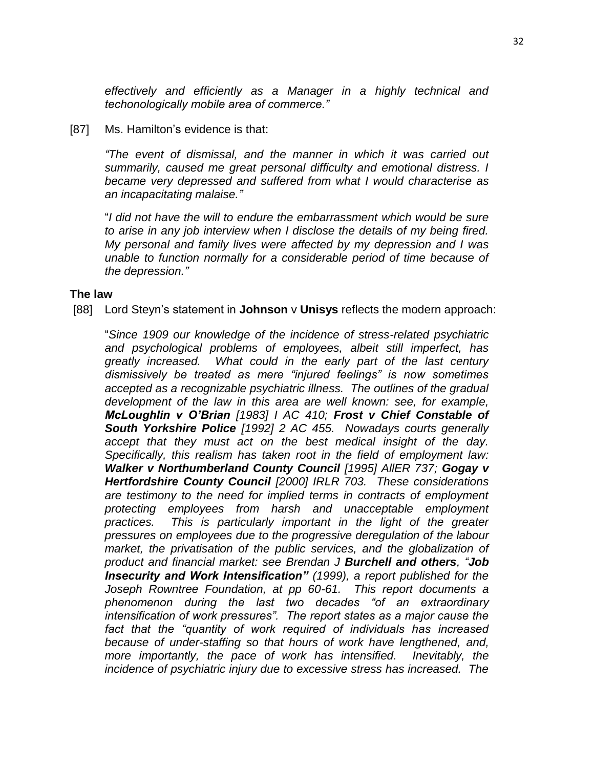*effectively and efficiently as a Manager in a highly technical and techonologically mobile area of commerce."*

#### [87] Ms. Hamilton's evidence is that:

*"The event of dismissal, and the manner in which it was carried out summarily, caused me great personal difficulty and emotional distress. I became very depressed and suffered from what I would characterise as an incapacitating malaise."*

"*I did not have the will to endure the embarrassment which would be sure to arise in any job interview when I disclose the details of my being fired. My personal and family lives were affected by my depression and I was unable to function normally for a considerable period of time because of the depression."*

#### **The law**

[88] Lord Steyn's statement in **Johnson** v **Unisys** reflects the modern approach:

"*Since 1909 our knowledge of the incidence of stress-related psychiatric and psychological problems of employees, albeit still imperfect, has greatly increased. What could in the early part of the last century dismissively be treated as mere "injured feelings" is now sometimes accepted as a recognizable psychiatric illness. The outlines of the gradual development of the law in this area are well known: see, for example, McLoughlin v O'Brian [1983] I AC 410; Frost v Chief Constable of South Yorkshire Police [1992] 2 AC 455. Nowadays courts generally accept that they must act on the best medical insight of the day. Specifically, this realism has taken root in the field of employment law: Walker v Northumberland County Council [1995] AllER 737; Gogay v Hertfordshire County Council [2000] IRLR 703. These considerations are testimony to the need for implied terms in contracts of employment protecting employees from harsh and unacceptable employment practices. This is particularly important in the light of the greater pressures on employees due to the progressive deregulation of the labour market, the privatisation of the public services, and the globalization of product and financial market: see Brendan J Burchell and others, "Job Insecurity and Work Intensification" (1999), a report published for the Joseph Rowntree Foundation, at pp 60-61. This report documents a phenomenon during the last two decades "of an extraordinary intensification of work pressures". The report states as a major cause the fact that the "quantity of work required of individuals has increased because of under-staffing so that hours of work have lengthened, and, more importantly, the pace of work has intensified. Inevitably, the incidence of psychiatric injury due to excessive stress has increased. The*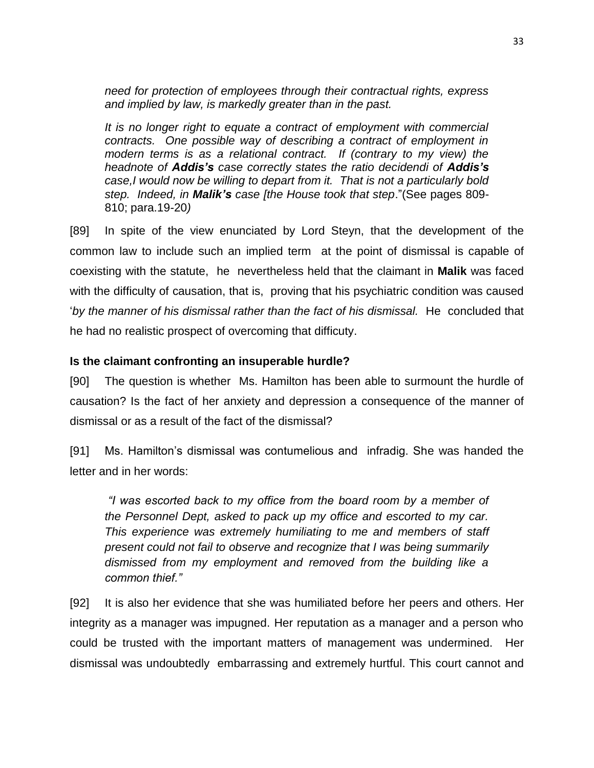*need for protection of employees through their contractual rights, express and implied by law, is markedly greater than in the past.*

*It is no longer right to equate a contract of employment with commercial contracts. One possible way of describing a contract of employment in modern terms is as a relational contract. If (contrary to my view) the headnote of Addis's case correctly states the ratio decidendi of Addis's case,I would now be willing to depart from it. That is not a particularly bold step. Indeed, in Malik's case [the House took that step*."(See pages 809- 810; para.19-20*)*

[89] In spite of the view enunciated by Lord Steyn, that the development of the common law to include such an implied term at the point of dismissal is capable of coexisting with the statute, he nevertheless held that the claimant in **Malik** was faced with the difficulty of causation, that is, proving that his psychiatric condition was caused '*by the manner of his dismissal rather than the fact of his dismissal.* He concluded that he had no realistic prospect of overcoming that difficuty.

## **Is the claimant confronting an insuperable hurdle?**

[90] The question is whether Ms. Hamilton has been able to surmount the hurdle of causation? Is the fact of her anxiety and depression a consequence of the manner of dismissal or as a result of the fact of the dismissal?

[91] Ms. Hamilton's dismissal was contumelious and infradig. She was handed the letter and in her words:

*"I was escorted back to my office from the board room by a member of the Personnel Dept, asked to pack up my office and escorted to my car. This experience was extremely humiliating to me and members of staff present could not fail to observe and recognize that I was being summarily dismissed from my employment and removed from the building like a common thief."*

[92] It is also her evidence that she was humiliated before her peers and others. Her integrity as a manager was impugned. Her reputation as a manager and a person who could be trusted with the important matters of management was undermined. Her dismissal was undoubtedly embarrassing and extremely hurtful. This court cannot and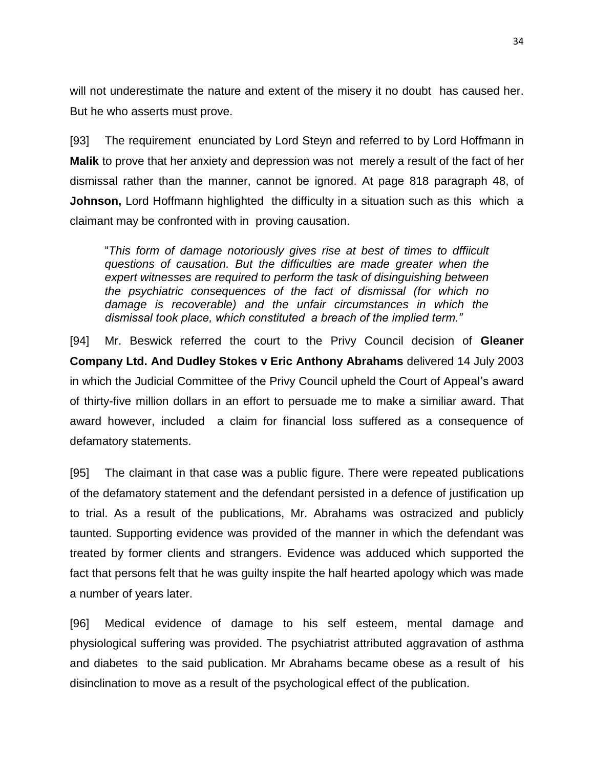will not underestimate the nature and extent of the misery it no doubt has caused her. But he who asserts must prove.

[93] The requirement enunciated by Lord Steyn and referred to by Lord Hoffmann in **Malik** to prove that her anxiety and depression was not merely a result of the fact of her dismissal rather than the manner, cannot be ignored. At page 818 paragraph 48, of **Johnson,** Lord Hoffmann highlighted the difficulty in a situation such as this which a claimant may be confronted with in proving causation.

"*This form of damage notoriously gives rise at best of times to dffiicult questions of causation. But the difficulties are made greater when the expert witnesses are required to perform the task of disinguishing between the psychiatric consequences of the fact of dismissal (for which no damage is recoverable) and the unfair circumstances in which the dismissal took place, which constituted a breach of the implied term."*

[94] Mr. Beswick referred the court to the Privy Council decision of **Gleaner Company Ltd. And Dudley Stokes v Eric Anthony Abrahams** delivered 14 July 2003 in which the Judicial Committee of the Privy Council upheld the Court of Appeal's award of thirty-five million dollars in an effort to persuade me to make a similiar award. That award however, included a claim for financial loss suffered as a consequence of defamatory statements.

[95] The claimant in that case was a public figure. There were repeated publications of the defamatory statement and the defendant persisted in a defence of justification up to trial. As a result of the publications, Mr. Abrahams was ostracized and publicly taunted. Supporting evidence was provided of the manner in which the defendant was treated by former clients and strangers. Evidence was adduced which supported the fact that persons felt that he was guilty inspite the half hearted apology which was made a number of years later.

[96] Medical evidence of damage to his self esteem, mental damage and physiological suffering was provided. The psychiatrist attributed aggravation of asthma and diabetes to the said publication. Mr Abrahams became obese as a result of his disinclination to move as a result of the psychological effect of the publication.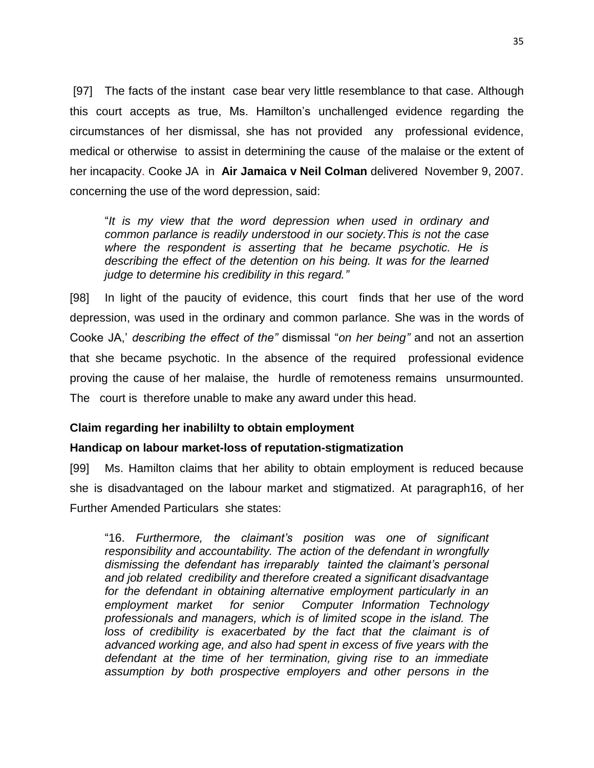[97] The facts of the instant case bear very little resemblance to that case. Although this court accepts as true, Ms. Hamilton's unchallenged evidence regarding the circumstances of her dismissal, she has not provided any professional evidence, medical or otherwise to assist in determining the cause of the malaise or the extent of her incapacity. Cooke JA in **Air Jamaica v Neil Colman** delivered November 9, 2007. concerning the use of the word depression, said:

"*It is my view that the word depression when used in ordinary and common parlance is readily understood in our society.This is not the case where the respondent is asserting that he became psychotic. He is describing the effect of the detention on his being. It was for the learned judge to determine his credibility in this regard."*

[98] In light of the paucity of evidence, this court finds that her use of the word depression, was used in the ordinary and common parlance. She was in the words of Cooke JA,' *describing the effect of the"* dismissal "*on her being"* and not an assertion that she became psychotic. In the absence of the required professional evidence proving the cause of her malaise, the hurdle of remoteness remains unsurmounted. The court is therefore unable to make any award under this head.

# **Claim regarding her inabililty to obtain employment**

# **Handicap on labour market-loss of reputation-stigmatization**

[99] Ms. Hamilton claims that her ability to obtain employment is reduced because she is disadvantaged on the labour market and stigmatized. At paragraph16, of her Further Amended Particulars she states:

"16. *Furthermore, the claimant's position was one of significant responsibility and accountability. The action of the defendant in wrongfully dismissing the defendant has irreparably tainted the claimant's personal and job related credibility and therefore created a significant disadvantage*  for the defendant in obtaining alternative employment particularly in an *employment market for senior Computer Information Technology professionals and managers, which is of limited scope in the island. The loss of credibility is exacerbated by the fact that the claimant is of advanced working age, and also had spent in excess of five years with the defendant at the time of her termination, giving rise to an immediate assumption by both prospective employers and other persons in the*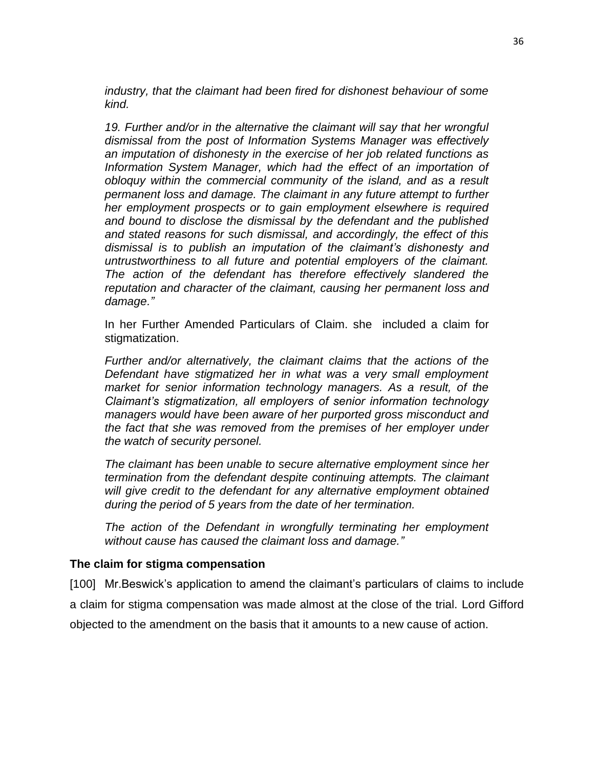*industry, that the claimant had been fired for dishonest behaviour of some kind.*

*19. Further and/or in the alternative the claimant will say that her wrongful dismissal from the post of Information Systems Manager was effectively an imputation of dishonesty in the exercise of her job related functions as Information System Manager, which had the effect of an importation of obloquy within the commercial community of the island, and as a result permanent loss and damage. The claimant in any future attempt to further her employment prospects or to gain employment elsewhere is required and bound to disclose the dismissal by the defendant and the published and stated reasons for such dismissal, and accordingly, the effect of this dismissal is to publish an imputation of the claimant's dishonesty and untrustworthiness to all future and potential employers of the claimant. The action of the defendant has therefore effectively slandered the reputation and character of the claimant, causing her permanent loss and damage."*

In her Further Amended Particulars of Claim. she included a claim for stigmatization.

*Further and/or alternatively, the claimant claims that the actions of the Defendant have stigmatized her in what was a very small employment market for senior information technology managers. As a result, of the Claimant's stigmatization, all employers of senior information technology managers would have been aware of her purported gross misconduct and the fact that she was removed from the premises of her employer under the watch of security personel.* 

*The claimant has been unable to secure alternative employment since her termination from the defendant despite continuing attempts. The claimant*  will give credit to the defendant for any alternative employment obtained *during the period of 5 years from the date of her termination.*

*The action of the Defendant in wrongfully terminating her employment without cause has caused the claimant loss and damage."*

### **The claim for stigma compensation**

[100] Mr.Beswick's application to amend the claimant's particulars of claims to include a claim for stigma compensation was made almost at the close of the trial. Lord Gifford objected to the amendment on the basis that it amounts to a new cause of action.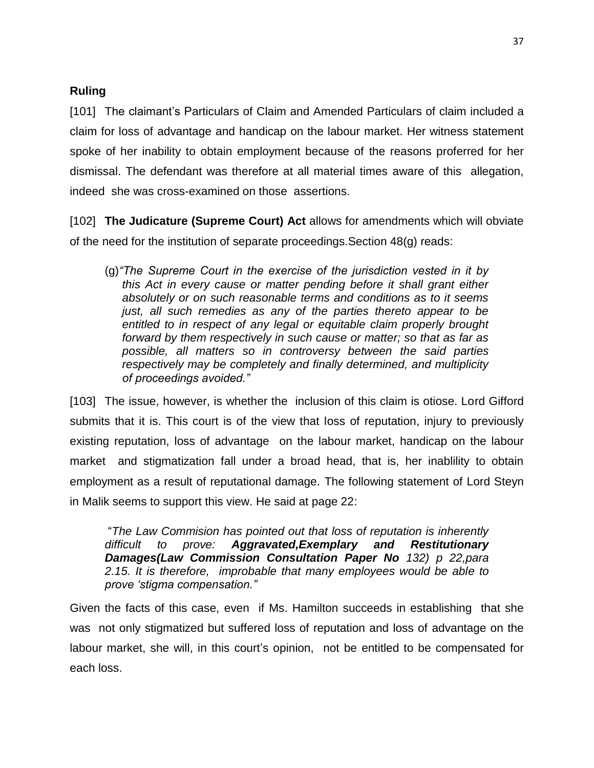# **Ruling**

[101] The claimant's Particulars of Claim and Amended Particulars of claim included a claim for loss of advantage and handicap on the labour market. Her witness statement spoke of her inability to obtain employment because of the reasons proferred for her dismissal. The defendant was therefore at all material times aware of this allegation, indeed she was cross-examined on those assertions.

[102] **The Judicature (Supreme Court) Act** allows for amendments which will obviate of the need for the institution of separate proceedings.Section 48(g) reads:

(g)*"The Supreme Court in the exercise of the jurisdiction vested in it by this Act in every cause or matter pending before it shall grant either absolutely or on such reasonable terms and conditions as to it seems just, all such remedies as any of the parties thereto appear to be entitled to in respect of any legal or equitable claim properly brought forward by them respectively in such cause or matter; so that as far as possible, all matters so in controversy between the said parties respectively may be completely and finally determined, and multiplicity of proceedings avoided."*

[103] The issue, however, is whether the inclusion of this claim is otiose. Lord Gifford submits that it is. This court is of the view that loss of reputation, injury to previously existing reputation, loss of advantage on the labour market, handicap on the labour market and stigmatization fall under a broad head, that is, her inablility to obtain employment as a result of reputational damage. The following statement of Lord Steyn in Malik seems to support this view. He said at page 22:

"*The Law Commision has pointed out that loss of reputation is inherently difficult to prove: Aggravated,Exemplary and Restitutionary Damages(Law Commission Consultation Paper No 132) p 22,para 2.15. It is therefore, improbable that many employees would be able to prove 'stigma compensation."*

Given the facts of this case, even if Ms. Hamilton succeeds in establishing that she was not only stigmatized but suffered loss of reputation and loss of advantage on the labour market, she will, in this court's opinion, not be entitled to be compensated for each loss.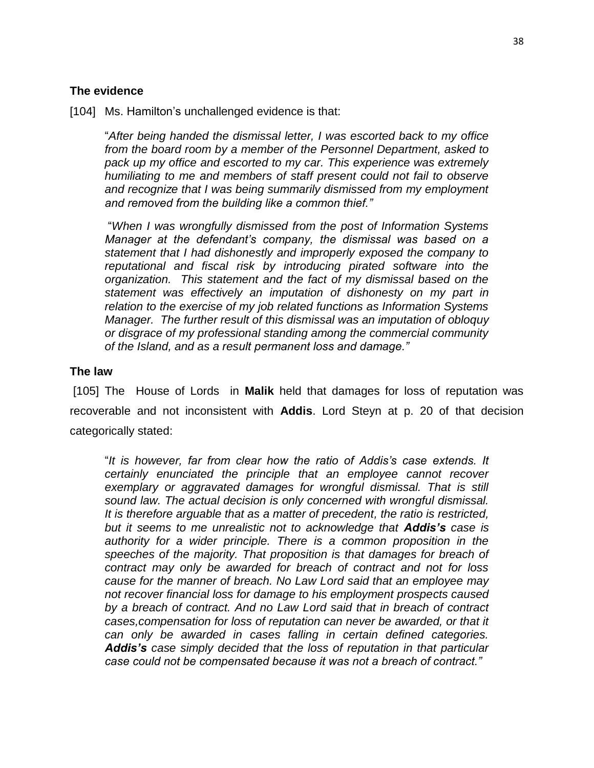## **The evidence**

[104] Ms. Hamilton's unchallenged evidence is that:

"*After being handed the dismissal letter, I was escorted back to my office from the board room by a member of the Personnel Department, asked to pack up my office and escorted to my car. This experience was extremely humiliating to me and members of staff present could not fail to observe and recognize that I was being summarily dismissed from my employment and removed from the building like a common thief."*

"*When I was wrongfully dismissed from the post of Information Systems Manager at the defendant's company, the dismissal was based on a statement that I had dishonestly and improperly exposed the company to reputational and fiscal risk by introducing pirated software into the organization. This statement and the fact of my dismissal based on the statement was effectively an imputation of dishonesty on my part in relation to the exercise of my job related functions as Information Systems Manager. The further result of this dismissal was an imputation of obloquy or disgrace of my professional standing among the commercial community of the Island, and as a result permanent loss and damage."*

## **The law**

[105] The House of Lords in **Malik** held that damages for loss of reputation was recoverable and not inconsistent with **Addis**. Lord Steyn at p. 20 of that decision categorically stated:

"*It is however, far from clear how the ratio of Addis's case extends. It certainly enunciated the principle that an employee cannot recover exemplary or aggravated damages for wrongful dismissal. That is still sound law. The actual decision is only concerned with wrongful dismissal. It is therefore arguable that as a matter of precedent, the ratio is restricted, but it seems to me unrealistic not to acknowledge that Addis's case is authority for a wider principle. There is a common proposition in the speeches of the majority. That proposition is that damages for breach of contract may only be awarded for breach of contract and not for loss cause for the manner of breach. No Law Lord said that an employee may not recover financial loss for damage to his employment prospects caused by a breach of contract. And no Law Lord said that in breach of contract cases,compensation for loss of reputation can never be awarded, or that it can only be awarded in cases falling in certain defined categories. Addis's case simply decided that the loss of reputation in that particular case could not be compensated because it was not a breach of contract."*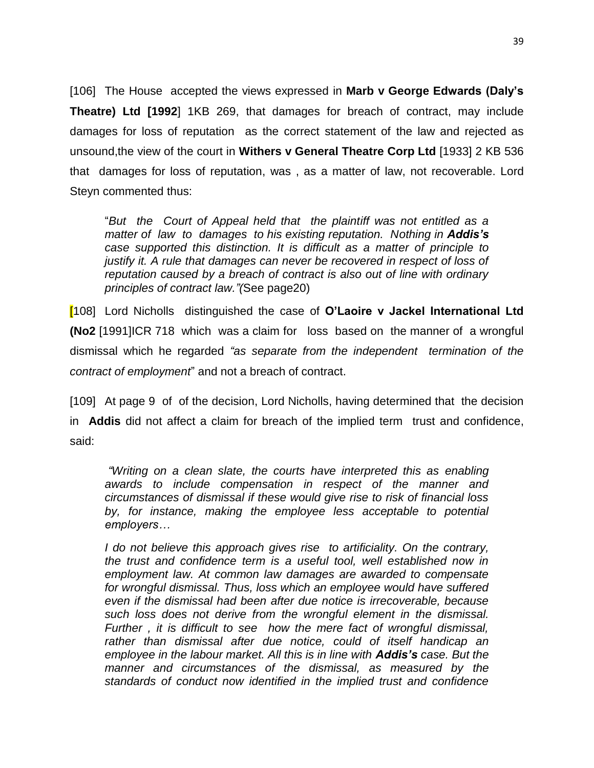[106] The House accepted the views expressed in **Marb v George Edwards (Daly's Theatre) Ltd [1992**] 1KB 269, that damages for breach of contract, may include damages for loss of reputation as the correct statement of the law and rejected as unsound,the view of the court in **Withers v General Theatre Corp Ltd** [1933] 2 KB 536 that damages for loss of reputation, was , as a matter of law, not recoverable. Lord Steyn commented thus:

"*But the Court of Appeal held that the plaintiff was not entitled as a matter of law to damages to his existing reputation. Nothing in Addis's case supported this distinction. It is difficult as a matter of principle to justify it. A rule that damages can never be recovered in respect of loss of reputation caused by a breach of contract is also out of line with ordinary principles of contract law."(*See page20)

[108] Lord Nicholls distinguished the case of **O'Laoire v Jackel International Ltd (No2** [1991]ICR 718 which was a claim for loss based on the manner of a wrongful dismissal which he regarded *"as separate from the independent termination of the contract of employment*" and not a breach of contract.

[109] At page 9 ofof the decision, Lord Nicholls, having determined that the decision in **Addis** did not affect a claim for breach of the implied term trust and confidence, said:

*"Writing on a clean slate, the courts have interpreted this as enabling awards to include compensation in respect of the manner and circumstances of dismissal if these would give rise to risk of financial loss by, for instance, making the employee less acceptable to potential employers…*

*I do not believe this approach gives rise to artificiality. On the contrary, the trust and confidence term is a useful tool, well established now in employment law. At common law damages are awarded to compensate for wrongful dismissal. Thus, loss which an employee would have suffered even if the dismissal had been after due notice is irrecoverable, because such loss does not derive from the wrongful element in the dismissal. Further , it is difficult to see how the mere fact of wrongful dismissal, rather than dismissal after due notice, could of itself handicap an employee in the labour market. All this is in line with Addis's case. But the manner and circumstances of the dismissal, as measured by the standards of conduct now identified in the implied trust and confidence*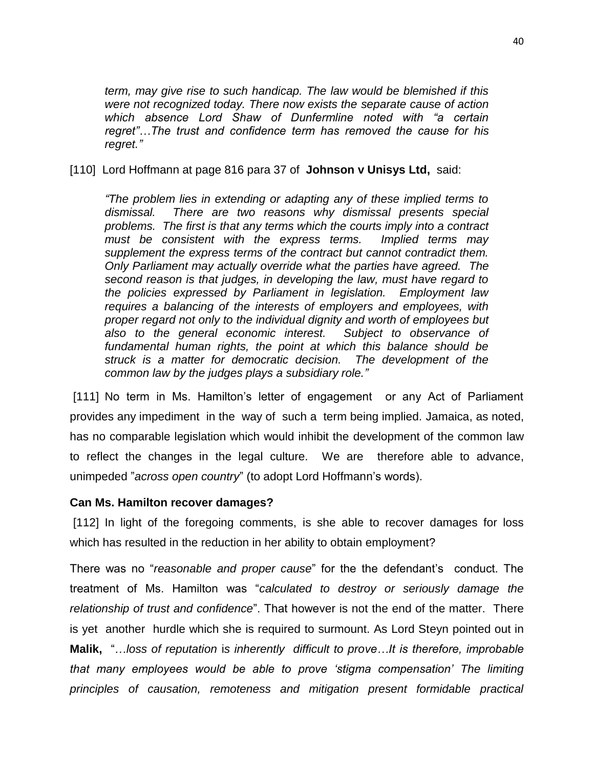*term, may give rise to such handicap. The law would be blemished if this were not recognized today. There now exists the separate cause of action which absence Lord Shaw of Dunfermline noted with "a certain regret"…The trust and confidence term has removed the cause for his regret."* 

[110] Lord Hoffmann at page 816 para 37 of **Johnson v Unisys Ltd,** said:

*"The problem lies in extending or adapting any of these implied terms to dismissal. There are two reasons why dismissal presents special problems. The first is that any terms which the courts imply into a contract must be consistent with the express terms. Implied terms may supplement the express terms of the contract but cannot contradict them. Only Parliament may actually override what the parties have agreed. The second reason is that judges, in developing the law, must have regard to the policies expressed by Parliament in legislation. Employment law requires a balancing of the interests of employers and employees, with proper regard not only to the individual dignity and worth of employees but also to the general economic interest. Subject to observance of fundamental human rights, the point at which this balance should be struck is a matter for democratic decision. The development of the common law by the judges plays a subsidiary role."*

[111] No term in Ms. Hamilton's letter of engagement or any Act of Parliament provides any impediment in the way of such a term being implied*.* Jamaica, as noted, has no comparable legislation which would inhibit the development of the common law to reflect the changes in the legal culture. We are therefore able to advance, unimpeded "*across open country*" (to adopt Lord Hoffmann's words).

### **Can Ms. Hamilton recover damages?**

[112] In light of the foregoing comments, is she able to recover damages for loss which has resulted in the reduction in her ability to obtain employment?

There was no "*reasonable and proper cause*" for the the defendant's conduct. The treatment of Ms. Hamilton was "*calculated to destroy or seriously damage the relationship of trust and confidence*". That however is not the end of the matter. There is yet another hurdle which she is required to surmount. As Lord Steyn pointed out in **Malik,** "…*loss of reputation* i*s inherently difficult to prove…It is therefore, improbable that many employees would be able to prove 'stigma compensation' The limiting principles of causation, remoteness and mitigation present formidable practical*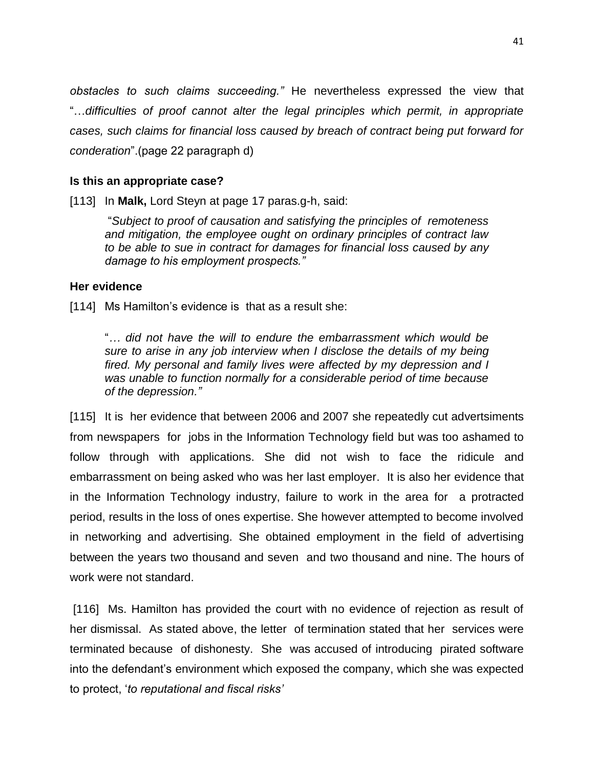*obstacles to such claims succeeding."* He nevertheless expressed the view that "…*difficulties of proof cannot alter the legal principles which permit, in appropriate cases, such claims for financial loss caused by breach of contract being put forward for conderation*".(page 22 paragraph d)

## **Is this an appropriate case?**

[113] In **Malk,** Lord Steyn at page 17 paras.g-h, said:

"*Subject to proof of causation and satisfying the principles of remoteness and mitigation, the employee ought on ordinary principles of contract law to be able to sue in contract for damages for financial loss caused by any damage to his employment prospects."*

### **Her evidence**

[114] Ms Hamilton's evidence is that as a result she:

"*… did not have the will to endure the embarrassment which would be sure to arise in any job interview when I disclose the details of my being fired. My personal and family lives were affected by my depression and I was unable to function normally for a considerable period of time because of the depression."*

[115] It is her evidence that between 2006 and 2007 she repeatedly cut advertsiments from newspapers for jobs in the Information Technology field but was too ashamed to follow through with applications. She did not wish to face the ridicule and embarrassment on being asked who was her last employer. It is also her evidence that in the Information Technology industry, failure to work in the area for a protracted period, results in the loss of ones expertise. She however attempted to become involved in networking and advertising. She obtained employment in the field of advertising between the years two thousand and seven and two thousand and nine. The hours of work were not standard.

[116] Ms. Hamilton has provided the court with no evidence of rejection as result of her dismissal. As stated above, the letter of termination stated that her services were terminated because of dishonesty. She was accused of introducing pirated software into the defendant's environment which exposed the company, which she was expected to protect, '*to reputational and fiscal risks'*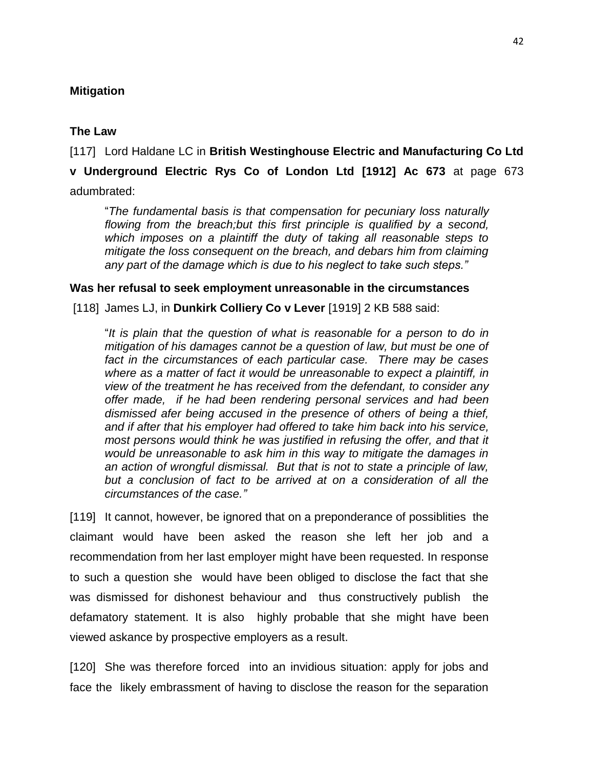## **Mitigation**

## **The Law**

[117] Lord Haldane LC in **British Westinghouse Electric and Manufacturing Co Ltd** 

**v Underground Electric Rys Co of London Ltd [1912] Ac 673** at page 673 adumbrated:

"*The fundamental basis is that compensation for pecuniary loss naturally flowing from the breach;but this first principle is qualified by a second, which imposes on a plaintiff the duty of taking all reasonable steps to mitigate the loss consequent on the breach, and debars him from claiming* 

**Was her refusal to seek employment unreasonable in the circumstances**

*any part of the damage which is due to his neglect to take such steps."*

[118] James LJ, in **Dunkirk Colliery Co v Lever** [1919] 2 KB 588 said:

"*It is plain that the question of what is reasonable for a person to do in mitigation of his damages cannot be a question of law, but must be one of fact in the circumstances of each particular case. There may be cases where as a matter of fact it would be unreasonable to expect a plaintiff, in view of the treatment he has received from the defendant, to consider any offer made, if he had been rendering personal services and had been dismissed afer being accused in the presence of others of being a thief, and if after that his employer had offered to take him back into his service, most persons would think he was justified in refusing the offer, and that it would be unreasonable to ask him in this way to mitigate the damages in an action of wrongful dismissal. But that is not to state a principle of law, but a conclusion of fact to be arrived at on a consideration of all the circumstances of the case."* 

[119] It cannot, however, be ignored that on a preponderance of possibilities the claimant would have been asked the reason she left her job and a recommendation from her last employer might have been requested. In response to such a question she would have been obliged to disclose the fact that she was dismissed for dishonest behaviour and thus constructively publish the defamatory statement. It is also highly probable that she might have been viewed askance by prospective employers as a result.

[120] She was therefore forced into an invidious situation: apply for jobs and face the likely embrassment of having to disclose the reason for the separation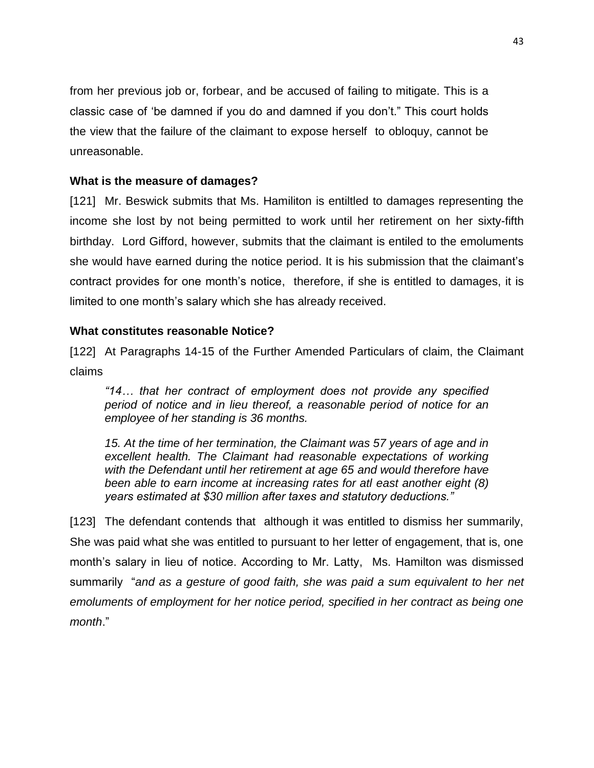from her previous job or, forbear, and be accused of failing to mitigate. This is a classic case of 'be damned if you do and damned if you don't." This court holds the view that the failure of the claimant to expose herself to obloquy, cannot be unreasonable.

## **What is the measure of damages?**

[121] Mr. Beswick submits that Ms. Hamiliton is entiltled to damages representing the income she lost by not being permitted to work until her retirement on her sixty-fifth birthday. Lord Gifford, however, submits that the claimant is entiled to the emoluments she would have earned during the notice period. It is his submission that the claimant's contract provides for one month's notice, therefore, if she is entitled to damages, it is limited to one month's salary which she has already received.

## **What constitutes reasonable Notice?**

[122] At Paragraphs 14-15 of the Further Amended Particulars of claim, the Claimant claims

*"14… that her contract of employment does not provide any specified period of notice and in lieu thereof, a reasonable period of notice for an employee of her standing is 36 months.*

*15. At the time of her termination, the Claimant was 57 years of age and in excellent health. The Claimant had reasonable expectations of working with the Defendant until her retirement at age 65 and would therefore have been able to earn income at increasing rates for atl east another eight (8) years estimated at \$30 million after taxes and statutory deductions."*

[123] The defendant contends that although it was entitled to dismiss her summarily, She was paid what she was entitled to pursuant to her letter of engagement, that is, one month's salary in lieu of notice. According to Mr. Latty, Ms. Hamilton was dismissed summarily "*and as a gesture of good faith, she was paid a sum equivalent to her net emoluments of employment for her notice period, specified in her contract as being one month*."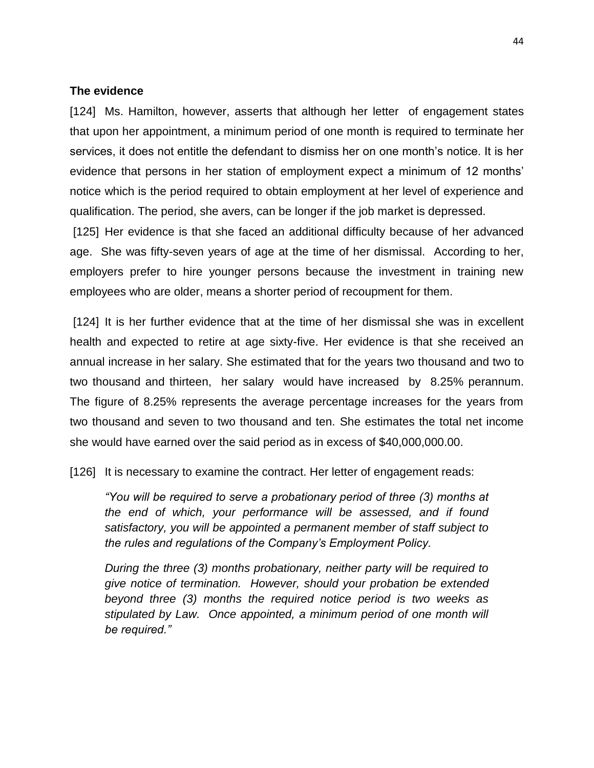#### **The evidence**

[124] Ms. Hamilton, however, asserts that although her letter of engagement states that upon her appointment, a minimum period of one month is required to terminate her services, it does not entitle the defendant to dismiss her on one month's notice. It is her evidence that persons in her station of employment expect a minimum of 12 months' notice which is the period required to obtain employment at her level of experience and qualification. The period, she avers, can be longer if the job market is depressed.

[125] Her evidence is that she faced an additional difficulty because of her advanced age. She was fifty-seven years of age at the time of her dismissal. According to her, employers prefer to hire younger persons because the investment in training new employees who are older, means a shorter period of recoupment for them.

[124] It is her further evidence that at the time of her dismissal she was in excellent health and expected to retire at age sixty-five. Her evidence is that she received an annual increase in her salary. She estimated that for the years two thousand and two to two thousand and thirteen, her salary would have increased by 8.25% perannum. The figure of 8.25% represents the average percentage increases for the years from two thousand and seven to two thousand and ten. She estimates the total net income she would have earned over the said period as in excess of \$40,000,000.00.

[126] It is necessary to examine the contract. Her letter of engagement reads:

*"You will be required to serve a probationary period of three (3) months at the end of which, your performance will be assessed, and if found satisfactory, you will be appointed a permanent member of staff subject to the rules and regulations of the Company's Employment Policy.*

*During the three (3) months probationary, neither party will be required to give notice of termination. However, should your probation be extended beyond three (3) months the required notice period is two weeks as stipulated by Law. Once appointed, a minimum period of one month will be required."*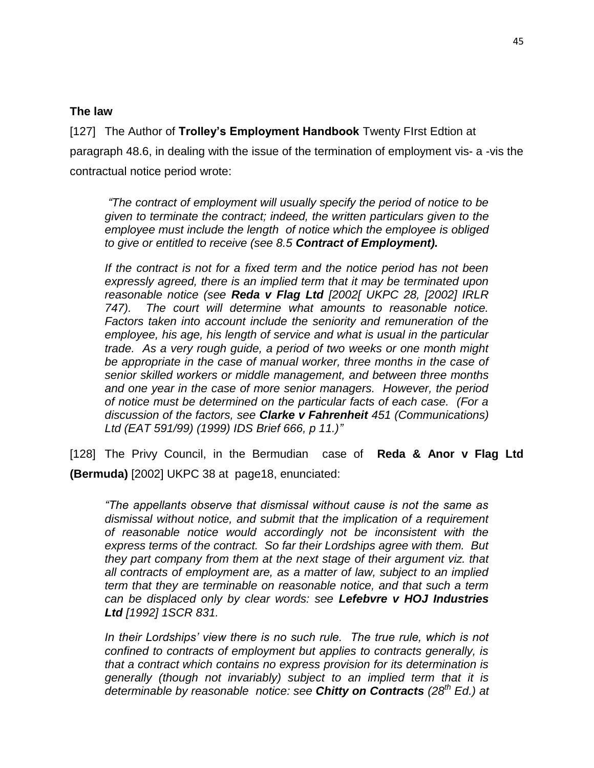## **The law**

[127] The Author of **Trolley's Employment Handbook** Twenty FIrst Edtion at paragraph 48.6, in dealing with the issue of the termination of employment vis- a -vis the contractual notice period wrote:

*"The contract of employment will usually specify the period of notice to be given to terminate the contract; indeed, the written particulars given to the employee must include the length of notice which the employee is obliged to give or entitled to receive (see 8.5 Contract of Employment).*

*If the contract is not for a fixed term and the notice period has not been expressly agreed, there is an implied term that it may be terminated upon reasonable notice (see Reda v Flag Ltd [2002[ UKPC 28, [2002] IRLR 747). The court will determine what amounts to reasonable notice. Factors taken into account include the seniority and remuneration of the employee, his age, his length of service and what is usual in the particular trade. As a very rough guide, a period of two weeks or one month might be appropriate in the case of manual worker, three months in the case of senior skilled workers or middle management, and between three months and one year in the case of more senior managers. However, the period of notice must be determined on the particular facts of each case. (For a discussion of the factors, see Clarke v Fahrenheit 451 (Communications) Ltd (EAT 591/99) (1999) IDS Brief 666, p 11.)"*

[128] The Privy Council, in the Bermudian case of **Reda & Anor v Flag Ltd (Bermuda)** [2002] UKPC 38 at page18, enunciated:

*"The appellants observe that dismissal without cause is not the same as dismissal without notice, and submit that the implication of a requirement of reasonable notice would accordingly not be inconsistent with the express terms of the contract. So far their Lordships agree with them. But they part company from them at the next stage of their argument viz. that all contracts of employment are, as a matter of law, subject to an implied term that they are terminable on reasonable notice, and that such a term can be displaced only by clear words: see Lefebvre v HOJ Industries Ltd [1992] 1SCR 831.*

In their Lordships' view there is no such rule. The true rule, which is not *confined to contracts of employment but applies to contracts generally, is that a contract which contains no express provision for its determination is generally (though not invariably) subject to an implied term that it is determinable by reasonable notice: see Chitty on Contracts (28th Ed.) at*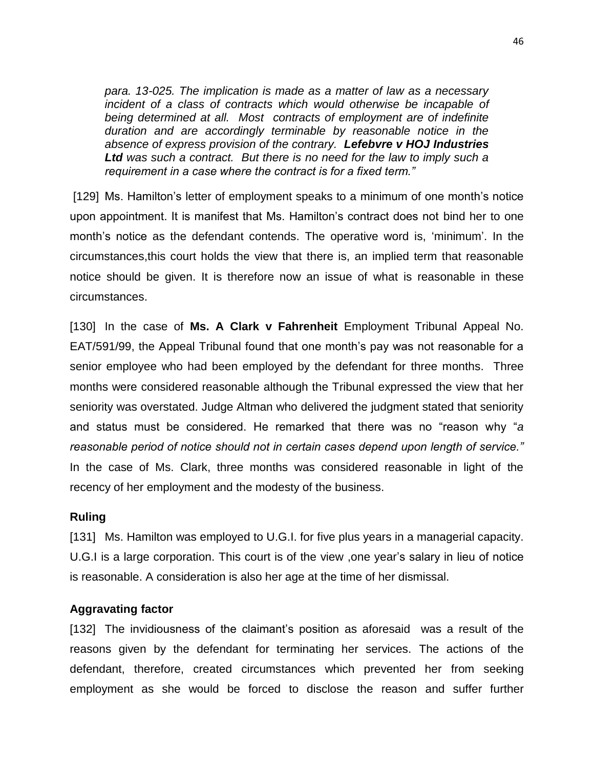*para. 13-025. The implication is made as a matter of law as a necessary incident of a class of contracts which would otherwise be incapable of being determined at all. Most contracts of employment are of indefinite duration and are accordingly terminable by reasonable notice in the absence of express provision of the contrary. Lefebvre v HOJ Industries Ltd was such a contract. But there is no need for the law to imply such a requirement in a case where the contract is for a fixed term."*

[129] Ms. Hamilton's letter of employment speaks to a minimum of one month's notice upon appointment. It is manifest that Ms. Hamilton's contract does not bind her to one month's notice as the defendant contends. The operative word is, 'minimum'. In the circumstances,this court holds the view that there is, an implied term that reasonable notice should be given. It is therefore now an issue of what is reasonable in these circumstances.

[130] In the case of **Ms. A Clark v Fahrenheit** Employment Tribunal Appeal No. EAT/591/99, the Appeal Tribunal found that one month's pay was not reasonable for a senior employee who had been employed by the defendant for three months. Three months were considered reasonable although the Tribunal expressed the view that her seniority was overstated. Judge Altman who delivered the judgment stated that seniority and status must be considered. He remarked that there was no "reason why "*a reasonable period of notice should not in certain cases depend upon length of service."* In the case of Ms. Clark, three months was considered reasonable in light of the recency of her employment and the modesty of the business.

#### **Ruling**

[131] Ms. Hamilton was employed to U.G.I. for five plus years in a managerial capacity. U.G.I is a large corporation. This court is of the view ,one year's salary in lieu of notice is reasonable. A consideration is also her age at the time of her dismissal.

#### **Aggravating factor**

[132] The invidiousness of the claimant's position as aforesaid was a result of the reasons given by the defendant for terminating her services. The actions of the defendant, therefore, created circumstances which prevented her from seeking employment as she would be forced to disclose the reason and suffer further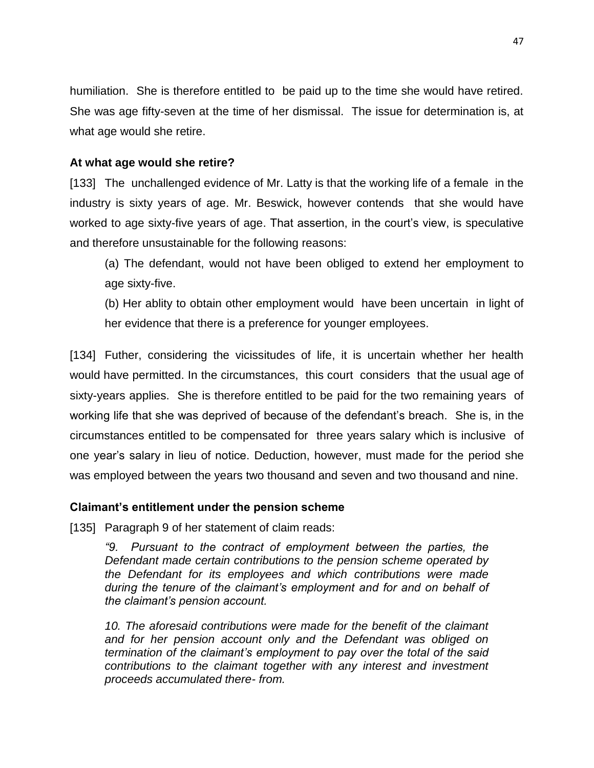humiliation. She is therefore entitled to be paid up to the time she would have retired. She was age fifty-seven at the time of her dismissal. The issue for determination is, at what age would she retire.

# **At what age would she retire?**

[133] The unchallenged evidence of Mr. Latty is that the working life of a female in the industry is sixty years of age. Mr. Beswick, however contends that she would have worked to age sixty-five years of age. That assertion, in the court's view, is speculative and therefore unsustainable for the following reasons:

(a) The defendant, would not have been obliged to extend her employment to age sixty-five.

(b) Her ablity to obtain other employment would have been uncertain in light of her evidence that there is a preference for younger employees.

[134] Futher, considering the vicissitudes of life, it is uncertain whether her health would have permitted. In the circumstances, this court considers that the usual age of sixty-years applies. She is therefore entitled to be paid for the two remaining years of working life that she was deprived of because of the defendant's breach. She is, in the circumstances entitled to be compensated for three years salary which is inclusive of one year's salary in lieu of notice. Deduction, however, must made for the period she was employed between the years two thousand and seven and two thousand and nine.

# **Claimant's entitlement under the pension scheme**

[135] Paragraph 9 of her statement of claim reads:

*"9. Pursuant to the contract of employment between the parties, the Defendant made certain contributions to the pension scheme operated by the Defendant for its employees and which contributions were made during the tenure of the claimant's employment and for and on behalf of the claimant's pension account.* 

*10. The aforesaid contributions were made for the benefit of the claimant and for her pension account only and the Defendant was obliged on termination of the claimant's employment to pay over the total of the said contributions to the claimant together with any interest and investment proceeds accumulated there- from.*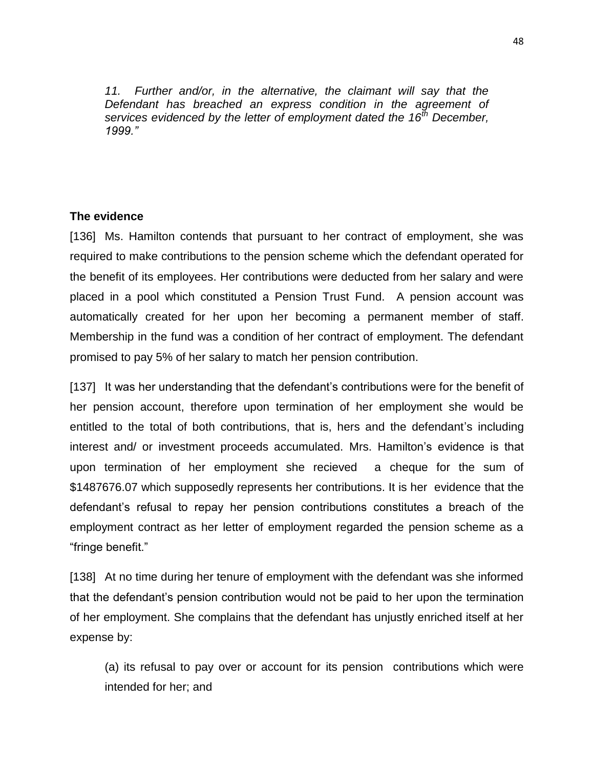*11. Further and/or, in the alternative, the claimant will say that the Defendant has breached an express condition in the agreement of services evidenced by the letter of employment dated the 16th December, 1999."*

### **The evidence**

[136] Ms. Hamilton contends that pursuant to her contract of employment, she was required to make contributions to the pension scheme which the defendant operated for the benefit of its employees. Her contributions were deducted from her salary and were placed in a pool which constituted a Pension Trust Fund. A pension account was automatically created for her upon her becoming a permanent member of staff. Membership in the fund was a condition of her contract of employment. The defendant promised to pay 5% of her salary to match her pension contribution.

[137] It was her understanding that the defendant's contributions were for the benefit of her pension account, therefore upon termination of her employment she would be entitled to the total of both contributions, that is, hers and the defendant's including interest and/ or investment proceeds accumulated. Mrs. Hamilton's evidence is that upon termination of her employment she recieved a cheque for the sum of \$1487676.07 which supposedly represents her contributions. It is her evidence that the defendant's refusal to repay her pension contributions constitutes a breach of the employment contract as her letter of employment regarded the pension scheme as a "fringe benefit."

[138] At no time during her tenure of employment with the defendant was she informed that the defendant's pension contribution would not be paid to her upon the termination of her employment. She complains that the defendant has unjustly enriched itself at her expense by:

(a) its refusal to pay over or account for its pension contributions which were intended for her; and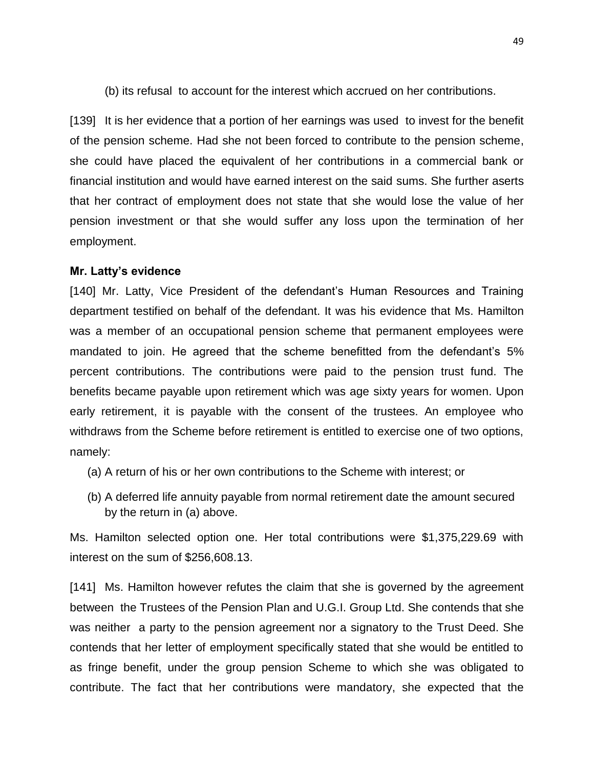(b) its refusal to account for the interest which accrued on her contributions.

[139] It is her evidence that a portion of her earnings was used to invest for the benefit of the pension scheme. Had she not been forced to contribute to the pension scheme, she could have placed the equivalent of her contributions in a commercial bank or financial institution and would have earned interest on the said sums. She further aserts that her contract of employment does not state that she would lose the value of her pension investment or that she would suffer any loss upon the termination of her employment.

#### **Mr. Latty's evidence**

[140] Mr. Latty, Vice President of the defendant's Human Resources and Training department testified on behalf of the defendant. It was his evidence that Ms. Hamilton was a member of an occupational pension scheme that permanent employees were mandated to join. He agreed that the scheme benefitted from the defendant's 5% percent contributions. The contributions were paid to the pension trust fund. The benefits became payable upon retirement which was age sixty years for women. Upon early retirement, it is payable with the consent of the trustees. An employee who withdraws from the Scheme before retirement is entitled to exercise one of two options, namely:

- (a) A return of his or her own contributions to the Scheme with interest; or
- (b) A deferred life annuity payable from normal retirement date the amount secured by the return in (a) above.

Ms. Hamilton selected option one. Her total contributions were \$1,375,229.69 with interest on the sum of \$256,608.13.

[141] Ms. Hamilton however refutes the claim that she is governed by the agreement between the Trustees of the Pension Plan and U.G.I. Group Ltd. She contends that she was neither a party to the pension agreement nor a signatory to the Trust Deed. She contends that her letter of employment specifically stated that she would be entitled to as fringe benefit, under the group pension Scheme to which she was obligated to contribute. The fact that her contributions were mandatory, she expected that the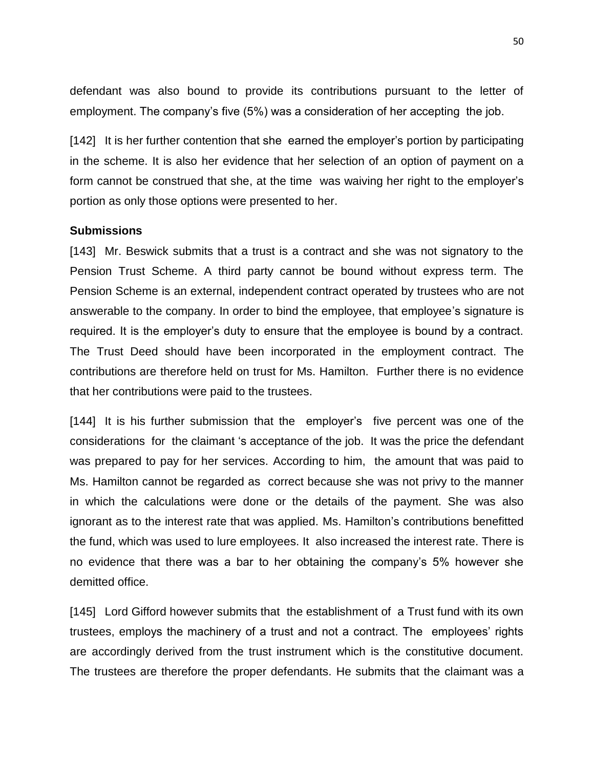defendant was also bound to provide its contributions pursuant to the letter of employment. The company's five (5%) was a consideration of her accepting the job.

[142] It is her further contention that she earned the employer's portion by participating in the scheme. It is also her evidence that her selection of an option of payment on a form cannot be construed that she, at the time was waiving her right to the employer's portion as only those options were presented to her.

### **Submissions**

[143] Mr. Beswick submits that a trust is a contract and she was not signatory to the Pension Trust Scheme. A third party cannot be bound without express term. The Pension Scheme is an external, independent contract operated by trustees who are not answerable to the company. In order to bind the employee, that employee's signature is required. It is the employer's duty to ensure that the employee is bound by a contract. The Trust Deed should have been incorporated in the employment contract. The contributions are therefore held on trust for Ms. Hamilton. Further there is no evidence that her contributions were paid to the trustees.

[144] It is his further submission that the employer's five percent was one of the considerations for the claimant 's acceptance of the job. It was the price the defendant was prepared to pay for her services. According to him, the amount that was paid to Ms. Hamilton cannot be regarded as correct because she was not privy to the manner in which the calculations were done or the details of the payment. She was also ignorant as to the interest rate that was applied. Ms. Hamilton's contributions benefitted the fund, which was used to lure employees. It also increased the interest rate. There is no evidence that there was a bar to her obtaining the company's 5% however she demitted office.

[145] Lord Gifford however submits that the establishment of a Trust fund with its own trustees, employs the machinery of a trust and not a contract. The employees' rights are accordingly derived from the trust instrument which is the constitutive document. The trustees are therefore the proper defendants. He submits that the claimant was a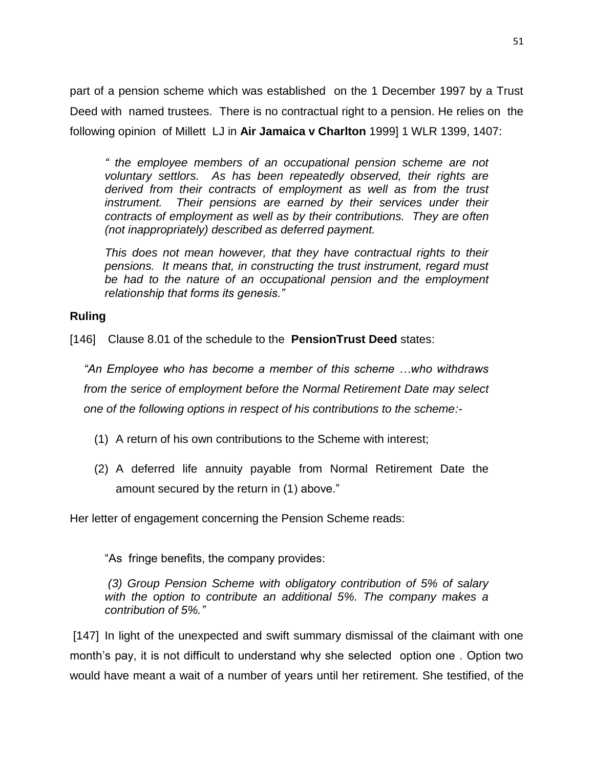part of a pension scheme which was established on the 1 December 1997 by a Trust Deed with named trustees. There is no contractual right to a pension. He relies on the following opinion of Millett LJ in **Air Jamaica v Charlton** 1999] 1 WLR 1399, 1407:

*" the employee members of an occupational pension scheme are not voluntary settlors. As has been repeatedly observed, their rights are derived from their contracts of employment as well as from the trust*  instrument. Their pensions are earned by their services under their *contracts of employment as well as by their contributions. They are often (not inappropriately) described as deferred payment.*

*This does not mean however, that they have contractual rights to their pensions. It means that, in constructing the trust instrument, regard must be had to the nature of an occupational pension and the employment relationship that forms its genesis."*

# **Ruling**

[146] Clause 8.01 of the schedule to the **PensionTrust Deed** states:

*"An Employee who has become a member of this scheme …who withdraws from the serice of employment before the Normal Retirement Date may select one of the following options in respect of his contributions to the scheme:-*

- (1) A return of his own contributions to the Scheme with interest;
- (2) A deferred life annuity payable from Normal Retirement Date the amount secured by the return in (1) above."

Her letter of engagement concerning the Pension Scheme reads:

"As fringe benefits, the company provides:

*(3) Group Pension Scheme with obligatory contribution of 5% of salary with the option to contribute an additional 5%. The company makes a contribution of 5%."*

[147] In light of the unexpected and swift summary dismissal of the claimant with one month's pay, it is not difficult to understand why she selected option one . Option two would have meant a wait of a number of years until her retirement. She testified, of the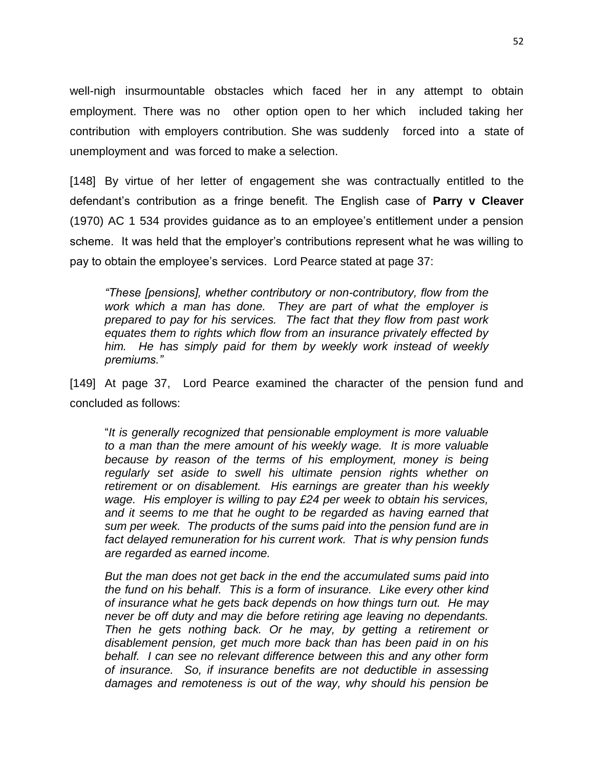well-nigh insurmountable obstacles which faced her in any attempt to obtain employment. There was no other option open to her which included taking her contribution with employers contribution. She was suddenly forced into a state of unemployment and was forced to make a selection.

[148] By virtue of her letter of engagement she was contractually entitled to the defendant's contribution as a fringe benefit. The English case of **Parry v Cleaver** (1970) AC 1 534 provides guidance as to an employee's entitlement under a pension scheme. It was held that the employer's contributions represent what he was willing to pay to obtain the employee's services. Lord Pearce stated at page 37:

*"These [pensions], whether contributory or non-contributory, flow from the work which a man has done. They are part of what the employer is prepared to pay for his services. The fact that they flow from past work equates them to rights which flow from an insurance privately effected by him. He has simply paid for them by weekly work instead of weekly premiums."*

[149] At page 37, Lord Pearce examined the character of the pension fund and concluded as follows:

"*It is generally recognized that pensionable employment is more valuable to a man than the mere amount of his weekly wage. It is more valuable because by reason of the terms of his employment, money is being regularly set aside to swell his ultimate pension rights whether on retirement or on disablement. His earnings are greater than his weekly wage. His employer is willing to pay £24 per week to obtain his services, and it seems to me that he ought to be regarded as having earned that sum per week. The products of the sums paid into the pension fund are in fact delayed remuneration for his current work. That is why pension funds are regarded as earned income.*

*But the man does not get back in the end the accumulated sums paid into the fund on his behalf. This is a form of insurance. Like every other kind of insurance what he gets back depends on how things turn out. He may never be off duty and may die before retiring age leaving no dependants. Then he gets nothing back. Or he may, by getting a retirement or disablement pension, get much more back than has been paid in on his behalf. I can see no relevant difference between this and any other form of insurance. So, if insurance benefits are not deductible in assessing damages and remoteness is out of the way, why should his pension be*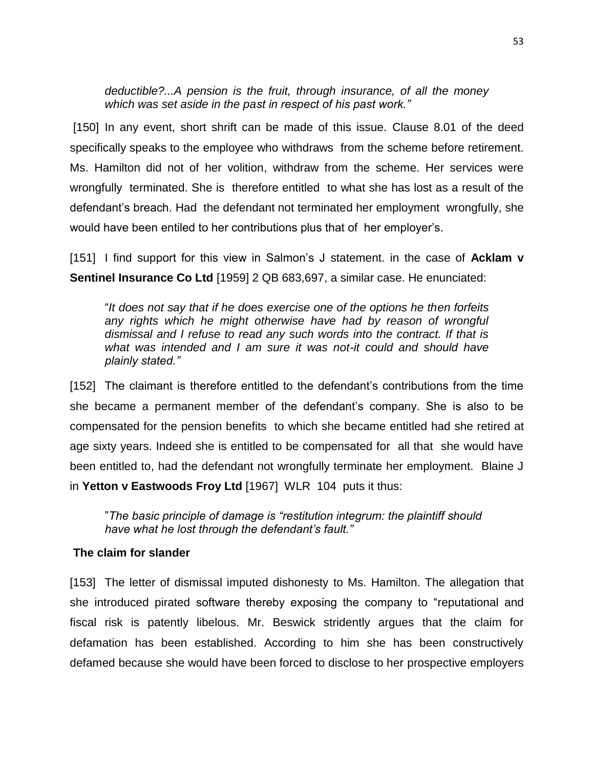*deductible?...A pension is the fruit, through insurance, of all the money which was set aside in the past in respect of his past work."*

[150] In any event, short shrift can be made of this issue. Clause 8.01 of the deed specifically speaks to the employee who withdraws from the scheme before retirement. Ms. Hamilton did not of her volition, withdraw from the scheme. Her services were wrongfully terminated. She is therefore entitled to what she has lost as a result of the defendant's breach. Had the defendant not terminated her employment wrongfully, she would have been entiled to her contributions plus that of her employer's.

[151] I find support for this view in Salmon's J statement. in the case of **Acklam v Sentinel Insurance Co Ltd** [1959] 2 QB 683,697, a similar case. He enunciated:

"*It does not say that if he does exercise one of the options he then forfeits any rights which he might otherwise have had by reason of wrongful dismissal and I refuse to read any such words into the contract. If that is what was intended and I am sure it was not-it could and should have plainly stated."*

[152] The claimant is therefore entitled to the defendant's contributions from the time she became a permanent member of the defendant's company. She is also to be compensated for the pension benefits to which she became entitled had she retired at age sixty years. Indeed she is entitled to be compensated for all that she would have been entitled to, had the defendant not wrongfully terminate her employment. Blaine J in **Yetton v Eastwoods Froy Ltd** [1967] WLR 104 puts it thus:

"*The basic principle of damage is "restitution integrum: the plaintiff should have what he lost through the defendant's fault."*

# **The claim for slander**

[153] The letter of dismissal imputed dishonesty to Ms. Hamilton. The allegation that she introduced pirated software thereby exposing the company to "reputational and fiscal risk is patently libelous. Mr. Beswick stridently argues that the claim for defamation has been established. According to him she has been constructively defamed because she would have been forced to disclose to her prospective employers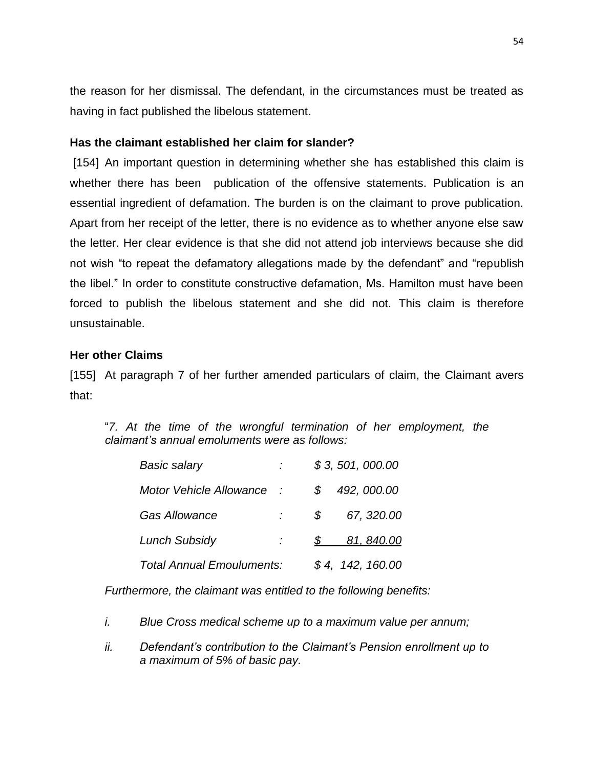the reason for her dismissal. The defendant, in the circumstances must be treated as having in fact published the libelous statement.

## **Has the claimant established her claim for slander?**

[154] An important question in determining whether she has established this claim is whether there has been publication of the offensive statements. Publication is an essential ingredient of defamation. The burden is on the claimant to prove publication. Apart from her receipt of the letter, there is no evidence as to whether anyone else saw the letter. Her clear evidence is that she did not attend job interviews because she did not wish "to repeat the defamatory allegations made by the defendant" and "republish the libel." In order to constitute constructive defamation, Ms. Hamilton must have been forced to publish the libelous statement and she did not. This claim is therefore unsustainable.

## **Her other Claims**

[155] At paragraph 7 of her further amended particulars of claim, the Claimant avers that:

"*7. At the time of the wrongful termination of her employment, the claimant's annual emoluments were as follows:*

| <b>Basic salary</b>            |  |    | \$3, 501, 000.00 |
|--------------------------------|--|----|------------------|
| <b>Motor Vehicle Allowance</b> |  |    | 492, 000.00      |
| <b>Gas Allowance</b>           |  | S. | 67, 320.00       |
| <b>Lunch Subsidy</b>           |  |    | 81, 840.00       |
| Total Annual Emouluments:      |  |    | \$4, 142, 160.00 |

*Furthermore, the claimant was entitled to the following benefits:*

- *i. Blue Cross medical scheme up to a maximum value per annum;*
- *ii. Defendant's contribution to the Claimant's Pension enrollment up to a maximum of 5% of basic pay.*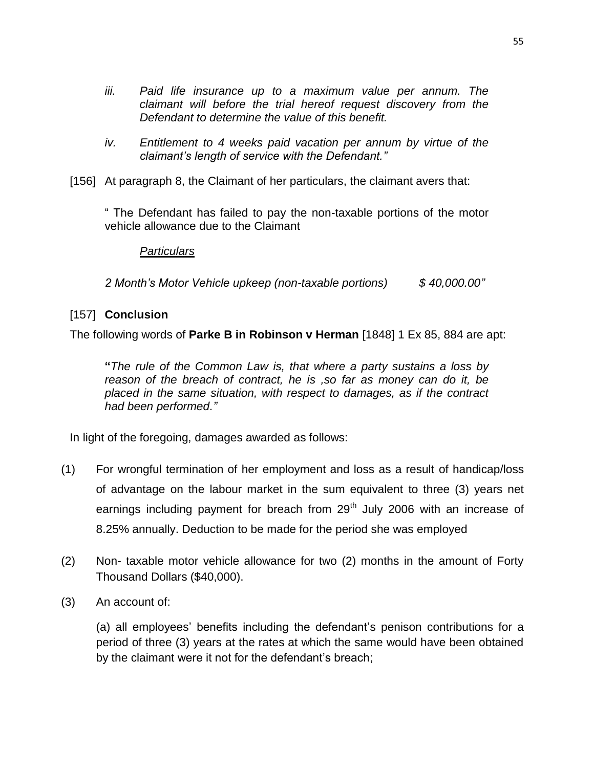- *iii. Paid life insurance up to a maximum value per annum. The claimant will before the trial hereof request discovery from the Defendant to determine the value of this benefit.*
- *iv. Entitlement to 4 weeks paid vacation per annum by virtue of the claimant's length of service with the Defendant."*
- [156] At paragraph 8, the Claimant of her particulars, the claimant avers that:

" The Defendant has failed to pay the non-taxable portions of the motor vehicle allowance due to the Claimant

### *Particulars*

*2 Month's Motor Vehicle upkeep (non-taxable portions) \$ 40,000.00"*

# [157] **Conclusion**

The following words of **Parke B in Robinson v Herman** [1848] 1 Ex 85, 884 are apt:

**"***The rule of the Common Law is, that where a party sustains a loss by reason of the breach of contract, he is ,so far as money can do it, be placed in the same situation, with respect to damages, as if the contract had been performed."*

In light of the foregoing, damages awarded as follows:

- (1) For wrongful termination of her employment and loss as a result of handicap/loss of advantage on the labour market in the sum equivalent to three (3) years net earnings including payment for breach from  $29<sup>th</sup>$  July 2006 with an increase of 8.25% annually. Deduction to be made for the period she was employed
- (2) Non- taxable motor vehicle allowance for two (2) months in the amount of Forty Thousand Dollars (\$40,000).
- (3) An account of:

(a) all employees' benefits including the defendant's penison contributions for a period of three (3) years at the rates at which the same would have been obtained by the claimant were it not for the defendant's breach;